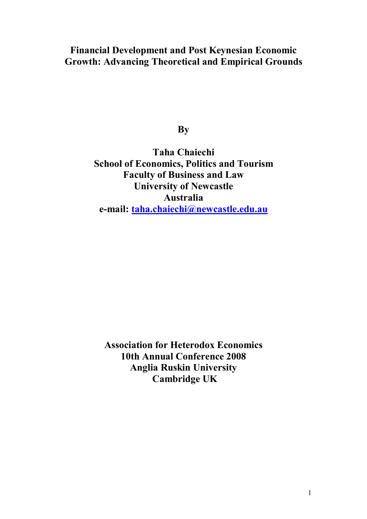## **Financial Development and Post Keynesian Economic Growth: Advancing Theoretical and Empirical Grounds**

**By** 

**Taha Chaiechi School of Economics, Politics and Tourism Faculty of Business and Law University of Newcastle Australia e-mail: taha.chaiechi@newcastle.edu.au**

**Association for Heterodox Economics 10th Annual Conference 2008 Anglia Ruskin University Cambridge UK**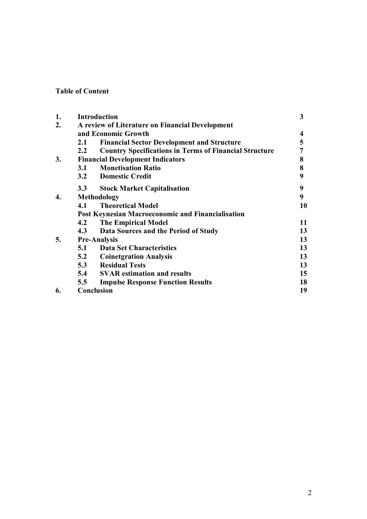## **Table of Content**

| 1. |     | <b>Introduction</b>                                           | 3  |
|----|-----|---------------------------------------------------------------|----|
| 2. |     | A review of Literature on Financial Development               |    |
|    |     | and Economic Growth                                           | 4  |
|    | 2.1 | <b>Financial Sector Development and Structure</b>             | 5  |
|    | 2.2 | <b>Country Specifications in Terms of Financial Structure</b> | 7  |
| 3. |     | <b>Financial Development Indicators</b>                       | 8  |
|    | 3.1 | <b>Monetisation Ratio</b>                                     | 8  |
|    |     | 3.2 Domestic Credit                                           | 9  |
|    | 3.3 | <b>Stock Market Capitalisation</b>                            | 9  |
| 4. |     | <b>Methodology</b>                                            | 9  |
|    | 4.1 | <b>Theoretical Model</b>                                      | 10 |
|    |     | <b>Post Keynesian Macroeconomic and Financialisation</b>      |    |
|    | 4.2 | <b>The Empirical Model</b>                                    | 11 |
|    | 4.3 | Data Sources and the Period of Study                          | 13 |
| 5. |     | <b>Pre-Analysis</b>                                           | 13 |
|    | 5.1 | <b>Data Set Characteristics</b>                               | 13 |
|    | 5.2 | <b>Coinetgration Analysis</b>                                 | 13 |
|    | 5.3 | <b>Residual Tests</b>                                         | 13 |
|    | 5.4 | <b>SVAR</b> estimation and results                            | 15 |
|    | 5.5 | <b>Impulse Response Function Results</b>                      | 18 |
| 6. |     | Conclusion                                                    | 19 |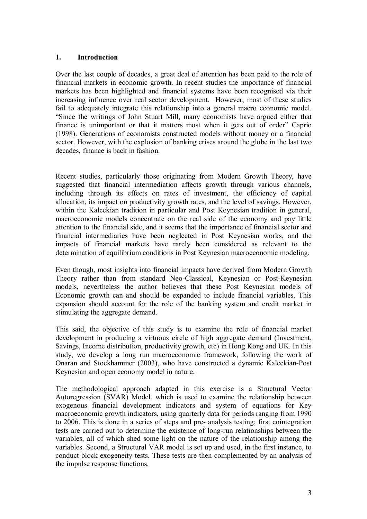#### **1. Introduction**

Over the last couple of decades, a great deal of attention has been paid to the role of financial markets in economic growth. In recent studies the importance of financial markets has been highlighted and financial systems have been recognised via their increasing influence over real sector development. However, most of these studies fail to adequately integrate this relationship into a general macro economic model. ìSince the writings of John Stuart Mill, many economists have argued either that finance is unimportant or that it matters most when it gets out of order" Caprio (1998). Generations of economists constructed models without money or a financial sector. However, with the explosion of banking crises around the globe in the last two decades, finance is back in fashion.

Recent studies, particularly those originating from Modern Growth Theory, have suggested that financial intermediation affects growth through various channels, including through its effects on rates of investment, the efficiency of capital allocation, its impact on productivity growth rates, and the level of savings. However, within the Kaleckian tradition in particular and Post Keynesian tradition in general, macroeconomic models concentrate on the real side of the economy and pay little attention to the financial side, and it seems that the importance of financial sector and financial intermediaries have been neglected in Post Keynesian works, and the impacts of financial markets have rarely been considered as relevant to the determination of equilibrium conditions in Post Keynesian macroeconomic modeling.

Even though, most insights into financial impacts have derived from Modern Growth Theory rather than from standard Neo-Classical, Keynesian or Post-Keynesian models, nevertheless the author believes that these Post Keynesian models of Economic growth can and should be expanded to include financial variables. This expansion should account for the role of the banking system and credit market in stimulating the aggregate demand.

This said, the objective of this study is to examine the role of financial market development in producing a virtuous circle of high aggregate demand (Investment, Savings, Income distribution, productivity growth, etc) in Hong Kong and UK. In this study, we develop a long run macroeconomic framework, following the work of Onaran and Stockhammer (2003), who have constructed a dynamic Kaleckian-Post Keynesian and open economy model in nature.

The methodological approach adapted in this exercise is a Structural Vector Autoregression (SVAR) Model, which is used to examine the relationship between exogenous financial development indicators and system of equations for Key macroeconomic growth indicators, using quarterly data for periods ranging from 1990 to 2006. This is done in a series of steps and pre- analysis testing; first cointegration tests are carried out to determine the existence of long-run relationships between the variables, all of which shed some light on the nature of the relationship among the variables. Second, a Structural VAR model is set up and used, in the first instance, to conduct block exogeneity tests. These tests are then complemented by an analysis of the impulse response functions.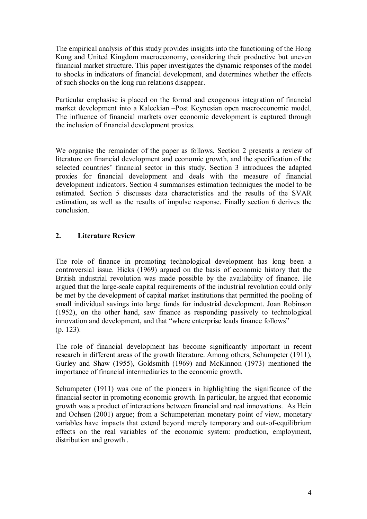The empirical analysis of this study provides insights into the functioning of the Hong Kong and United Kingdom macroeconomy, considering their productive but uneven financial market structure. This paper investigates the dynamic responses of the model to shocks in indicators of financial development, and determines whether the effects of such shocks on the long run relations disappear.

Particular emphasise is placed on the formal and exogenous integration of financial market development into a Kaleckian –Post Keynesian open macroeconomic model. The influence of financial markets over economic development is captured through the inclusion of financial development proxies.

We organise the remainder of the paper as follows. Section 2 presents a review of literature on financial development and economic growth, and the specification of the selected countries' financial sector in this study. Section 3 introduces the adapted proxies for financial development and deals with the measure of financial development indicators. Section 4 summarises estimation techniques the model to be estimated. Section 5 discusses data characteristics and the results of the SVAR estimation, as well as the results of impulse response. Finally section 6 derives the conclusion.

### **2. Literature Review**

The role of finance in promoting technological development has long been a controversial issue. Hicks (1969) argued on the basis of economic history that the British industrial revolution was made possible by the availability of finance. He argued that the large-scale capital requirements of the industrial revolution could only be met by the development of capital market institutions that permitted the pooling of small individual savings into large funds for industrial development. Joan Robinson (1952), on the other hand, saw finance as responding passively to technological innovation and development, and that "where enterprise leads finance follows" (p. 123).

The role of financial development has become significantly important in recent research in different areas of the growth literature. Among others, Schumpeter (1911), Gurley and Shaw (1955), Goldsmith (1969) and McKinnon (1973) mentioned the importance of financial intermediaries to the economic growth.

Schumpeter (1911) was one of the pioneers in highlighting the significance of the financial sector in promoting economic growth. In particular, he argued that economic growth was a product of interactions between financial and real innovations. As Hein and Ochsen (2001) argue; from a Schumpeterian monetary point of view, monetary variables have impacts that extend beyond merely temporary and out-of-equilibrium effects on the real variables of the economic system: production, employment, distribution and growth .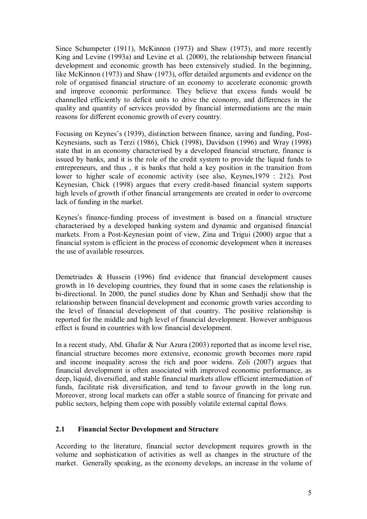Since Schumpeter (1911), McKinnon (1973) and Shaw (1973), and more recently King and Levine (1993a) and Levine et al. (2000), the relationship between financial development and economic growth has been extensively studied. In the beginning, like McKinnon (1973) and Shaw (1973), offer detailed arguments and evidence on the role of organised financial structure of an economy to accelerate economic growth and improve economic performance. They believe that excess funds would be channelled efficiently to deficit units to drive the economy, and differences in the quality and quantity of services provided by financial intermediations are the main reasons for different economic growth of every country.

Focusing on Keynes's (1939), distinction between finance, saving and funding, Post-Keynesians, such as Terzi (1986), Chick (1998), Davidson (1996) and Wray (1998) state that in an economy characterised by a developed financial structure, finance is issued by banks, and it is the role of the credit system to provide the liquid funds to entrepreneurs, and thus , it is banks that hold a key position in the transition from lower to higher scale of economic activity (see also, Keynes,1979 : 212). Post Keynesian, Chick (1998) argues that every credit-based financial system supports high levels of growth if other financial arrangements are created in order to overcome lack of funding in the market.

Keynes's finance-funding process of investment is based on a financial structure characterised by a developed banking system and dynamic and organised financial markets. From a Post-Keynesian point of view, Zina and Trigui (2000) argue that a financial system is efficient in the process of economic development when it increases the use of available resources.

Demetriades & Hussein (1996) find evidence that financial development causes growth in 16 developing countries, they found that in some cases the relationship is bi-directional. In 2000, the panel studies done by Khan and Senhadji show that the relationship between financial development and economic growth varies according to the level of financial development of that country. The positive relationship is reported for the middle and high level of financial development. However ambiguous effect is found in countries with low financial development.

In a recent study, Abd. Ghafar & Nur Azura (2003) reported that as income level rise, financial structure becomes more extensive, economic growth becomes more rapid and income inequality across the rich and poor widens. Zoli (2007) argues that financial development is often associated with improved economic performance, as deep, liquid, diversified, and stable financial markets allow efficient intermediation of funds, facilitate risk diversification, and tend to favour growth in the long run. Moreover, strong local markets can offer a stable source of financing for private and public sectors, helping them cope with possibly volatile external capital flows.

#### **2.1 Financial Sector Development and Structure**

According to the literature, financial sector development requires growth in the volume and sophistication of activities as well as changes in the structure of the market. Generally speaking, as the economy develops, an increase in the volume of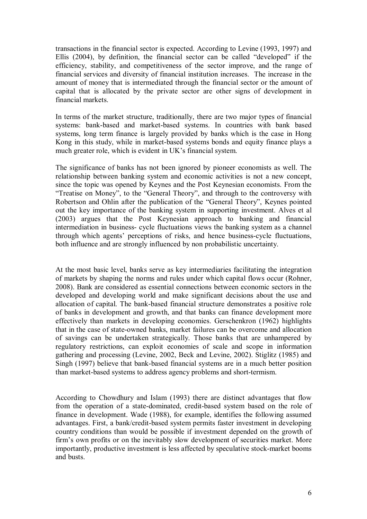transactions in the financial sector is expected. According to Levine (1993, 1997) and Ellis  $(2004)$ , by definition, the financial sector can be called "developed" if the efficiency, stability, and competitiveness of the sector improve, and the range of financial services and diversity of financial institution increases. The increase in the amount of money that is intermediated through the financial sector or the amount of capital that is allocated by the private sector are other signs of development in financial markets.

In terms of the market structure, traditionally, there are two major types of financial systems: bank-based and market-based systems. In countries with bank based systems, long term finance is largely provided by banks which is the case in Hong Kong in this study, while in market-based systems bonds and equity finance plays a much greater role, which is evident in UK's financial system.

The significance of banks has not been ignored by pioneer economists as well. The relationship between banking system and economic activities is not a new concept, since the topic was opened by Keynes and the Post Keynesian economists. From the "Treatise on Money", to the "General Theory", and through to the controversy with Robertson and Ohlin after the publication of the "General Theory", Keynes pointed out the key importance of the banking system in supporting investment. Alves et al (2003) argues that the Post Keynesian approach to banking and financial intermediation in business- cycle fluctuations views the banking system as a channel through which agents' perceptions of risks, and hence business-cycle fluctuations, both influence and are strongly influenced by non probabilistic uncertainty.

At the most basic level, banks serve as key intermediaries facilitating the integration of markets by shaping the norms and rules under which capital flows occur (Rohner, 2008). Bank are considered as essential connections between economic sectors in the developed and developing world and make significant decisions about the use and allocation of capital. The bank-based financial structure demonstrates a positive role of banks in development and growth, and that banks can finance development more effectively than markets in developing economies. Gerschenkron (1962) highlights that in the case of state-owned banks, market failures can be overcome and allocation of savings can be undertaken strategically. Those banks that are unhampered by regulatory restrictions, can exploit economies of scale and scope in information gathering and processing (Levine, 2002, Beck and Levine, 2002). Stiglitz (1985) and Singh (1997) believe that bank-based financial systems are in a much better position than market-based systems to address agency problems and short-termism.

According to Chowdhury and Islam (1993) there are distinct advantages that flow from the operation of a state-dominated, credit-based system based on the role of finance in development. Wade (1988), for example, identifies the following assumed advantages. First, a bank/credit-based system permits faster investment in developing country conditions than would be possible if investment depended on the growth of firm's own profits or on the inevitably slow development of securities market. More importantly, productive investment is less affected by speculative stock-market booms and busts.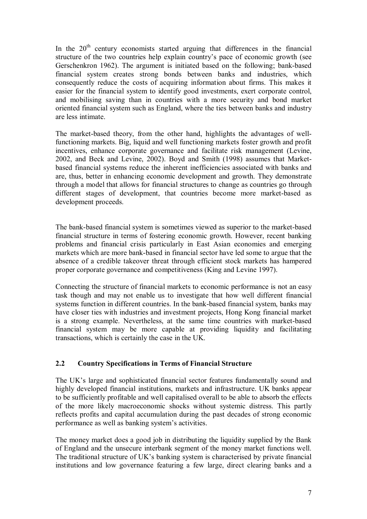In the  $20<sup>th</sup>$  century economists started arguing that differences in the financial structure of the two countries help explain country's pace of economic growth (see Gerschenkron 1962). The argument is initiated based on the following; bank-based financial system creates strong bonds between banks and industries, which consequently reduce the costs of acquiring information about firms. This makes it easier for the financial system to identify good investments, exert corporate control, and mobilising saving than in countries with a more security and bond market oriented financial system such as England, where the ties between banks and industry are less intimate.

The market-based theory, from the other hand, highlights the advantages of wellfunctioning markets. Big, liquid and well functioning markets foster growth and profit incentives, enhance corporate governance and facilitate risk management (Levine, 2002, and Beck and Levine, 2002). Boyd and Smith (1998) assumes that Marketbased financial systems reduce the inherent inefficiencies associated with banks and are, thus, better in enhancing economic development and growth. They demonstrate through a model that allows for financial structures to change as countries go through different stages of development, that countries become more market-based as development proceeds.

The bank-based financial system is sometimes viewed as superior to the market-based financial structure in terms of fostering economic growth. However, recent banking problems and financial crisis particularly in East Asian economies and emerging markets which are more bank-based in financial sector have led some to argue that the absence of a credible takeover threat through efficient stock markets has hampered proper corporate governance and competitiveness (King and Levine 1997).

Connecting the structure of financial markets to economic performance is not an easy task though and may not enable us to investigate that how well different financial systems function in different countries. In the bank-based financial system, banks may have closer ties with industries and investment projects, Hong Kong financial market is a strong example. Nevertheless, at the same time countries with market-based financial system may be more capable at providing liquidity and facilitating transactions, which is certainly the case in the UK.

## **2.2 Country Specifications in Terms of Financial Structure**

The UK's large and sophisticated financial sector features fundamentally sound and highly developed financial institutions, markets and infrastructure. UK banks appear to be sufficiently profitable and well capitalised overall to be able to absorb the effects of the more likely macroeconomic shocks without systemic distress. This partly reflects profits and capital accumulation during the past decades of strong economic performance as well as banking system's activities.

The money market does a good job in distributing the liquidity supplied by the Bank of England and the unsecure interbank segment of the money market functions well. The traditional structure of UK's banking system is characterised by private financial institutions and low governance featuring a few large, direct clearing banks and a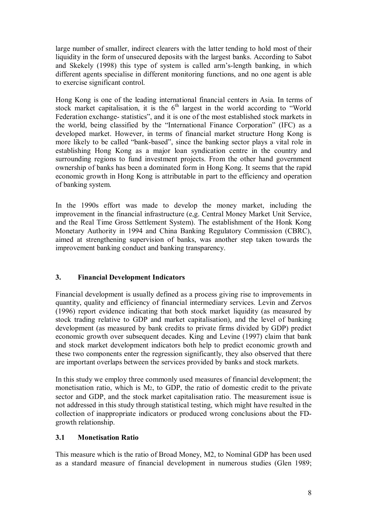large number of smaller, indirect clearers with the latter tending to hold most of their liquidity in the form of unsecured deposits with the largest banks. According to Sabot and Skekely (1998) this type of system is called armís-length banking, in which different agents specialise in different monitoring functions, and no one agent is able to exercise significant control.

Hong Kong is one of the leading international financial centers in Asia. In terms of stock market capitalisation, it is the  $6<sup>th</sup>$  largest in the world according to "World" Federation exchange- statistics", and it is one of the most established stock markets in the world, being classified by the "International Finance Corporation" (IFC) as a developed market. However, in terms of financial market structure Hong Kong is more likely to be called "bank-based", since the banking sector plays a vital role in establishing Hong Kong as a major loan syndication centre in the country and surrounding regions to fund investment projects. From the other hand government ownership of banks has been a dominated form in Hong Kong. It seems that the rapid economic growth in Hong Kong is attributable in part to the efficiency and operation of banking system.

In the 1990s effort was made to develop the money market, including the improvement in the financial infrastructure (e,g. Central Money Market Unit Service, and the Real Time Gross Settlement System). The establishment of the Honk Kong Monetary Authority in 1994 and China Banking Regulatory Commission (CBRC), aimed at strengthening supervision of banks, was another step taken towards the improvement banking conduct and banking transparency.

## **3. Financial Development Indicators**

Financial development is usually defined as a process giving rise to improvements in quantity, quality and efficiency of financial intermediary services. Levin and Zervos (1996) report evidence indicating that both stock market liquidity (as measured by stock trading relative to GDP and market capitalisation), and the level of banking development (as measured by bank credits to private firms divided by GDP) predict economic growth over subsequent decades. King and Levine (1997) claim that bank and stock market development indicators both help to predict economic growth and these two components enter the regression significantly, they also observed that there are important overlaps between the services provided by banks and stock markets.

In this study we employ three commonly used measures of financial development; the monetisation ratio, which is M2, to GDP, the ratio of domestic credit to the private sector and GDP, and the stock market capitalisation ratio. The measurement issue is not addressed in this study through statistical testing, which might have resulted in the collection of inappropriate indicators or produced wrong conclusions about the FDgrowth relationship.

#### **3.1 Monetisation Ratio**

This measure which is the ratio of Broad Money, M2, to Nominal GDP has been used as a standard measure of financial development in numerous studies (Glen 1989;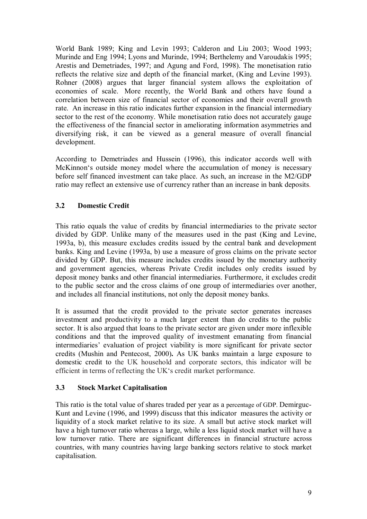World Bank 1989; King and Levin 1993; Calderon and Liu 2003; Wood 1993; Murinde and Eng 1994; Lyons and Murinde, 1994; Berthelemy and Varoudakis 1995; Arestis and Demetriades, 1997; and Agung and Ford, 1998). The monetisation ratio reflects the relative size and depth of the financial market, (King and Levine 1993). Rohner (2008) argues that larger financial system allows the exploitation of economies of scale. More recently, the World Bank and others have found a correlation between size of financial sector of economies and their overall growth rate. An increase in this ratio indicates further expansion in the financial intermediary sector to the rest of the economy. While monetisation ratio does not accurately gauge the effectiveness of the financial sector in ameliorating information asymmetries and diversifying risk, it can be viewed as a general measure of overall financial development.

According to Demetriades and Hussein (1996), this indicator accords well with McKinnon's outside money model where the accumulation of money is necessary before self financed investment can take place. As such, an increase in the M2/GDP ratio may reflect an extensive use of currency rather than an increase in bank deposits.

### **3.2 Domestic Credit**

This ratio equals the value of credits by financial intermediaries to the private sector divided by GDP. Unlike many of the measures used in the past (King and Levine, 1993a, b), this measure excludes credits issued by the central bank and development banks. King and Levine (1993a, b) use a measure of gross claims on the private sector divided by GDP. But, this measure includes credits issued by the monetary authority and government agencies, whereas Private Credit includes only credits issued by deposit money banks and other financial intermediaries. Furthermore, it excludes credit to the public sector and the cross claims of one group of intermediaries over another, and includes all financial institutions, not only the deposit money banks.

It is assumed that the credit provided to the private sector generates increases investment and productivity to a much larger extent than do credits to the public sector. It is also argued that loans to the private sector are given under more inflexible conditions and that the improved quality of investment emanating from financial intermediaries' evaluation of project viability is more significant for private sector credits (Mushin and Pentecost, 2000)**.** As UK banks maintain a large exposure to domestic credit to the UK household and corporate sectors, this indicator will be efficient in terms of reflecting the UKës credit market performance.

#### **3.3 Stock Market Capitalisation**

This ratio is the total value of shares traded per year as a percentage of GDP. Demirguc-Kunt and Levine (1996, and 1999) discuss that this indicator measures the activity or liquidity of a stock market relative to its size. A small but active stock market will have a high turnover ratio whereas a large, while a less liquid stock market will have a low turnover ratio. There are significant differences in financial structure across countries, with many countries having large banking sectors relative to stock market capitalisation.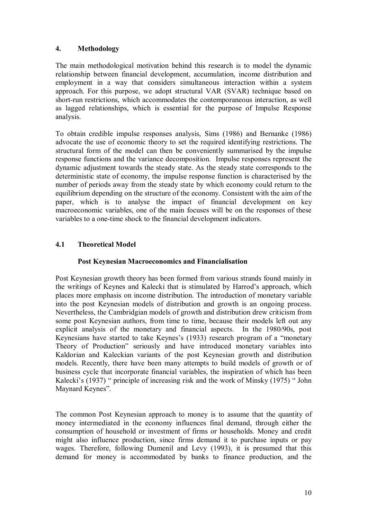### **4. Methodology**

The main methodological motivation behind this research is to model the dynamic relationship between financial development, accumulation, income distribution and employment in a way that considers simultaneous interaction within a system approach. For this purpose, we adopt structural VAR (SVAR) technique based on short-run restrictions, which accommodates the contemporaneous interaction, as well as lagged relationships, which is essential for the purpose of Impulse Response analysis.

To obtain credible impulse responses analysis, Sims (1986) and Bernanke (1986) advocate the use of economic theory to set the required identifying restrictions. The structural form of the model can then be conveniently summarised by the impulse response functions and the variance decomposition. Impulse responses represent the dynamic adjustment towards the steady state. As the steady state corresponds to the deterministic state of economy, the impulse response function is characterised by the number of periods away from the steady state by which economy could return to the equilibrium depending on the structure of the economy. Consistent with the aim of the paper, which is to analyse the impact of financial development on key macroeconomic variables, one of the main focuses will be on the responses of these variables to a one-time shock to the financial development indicators.

## **4.1 Theoretical Model**

#### **Post Keynesian Macroeconomics and Financialisation**

Post Keynesian growth theory has been formed from various strands found mainly in the writings of Keynes and Kalecki that is stimulated by Harrod's approach, which places more emphasis on income distribution. The introduction of monetary variable into the post Keynesian models of distribution and growth is an ongoing process. Nevertheless, the Cambridgian models of growth and distribution drew criticism from some post Keynesian authors, from time to time, because their models left out any explicit analysis of the monetary and financial aspects. In the 1980/90s, post Keynesians have started to take Keynes's (1933) research program of a "monetary Theory of Production" seriously and have introduced monetary variables into Kaldorian and Kaleckian variants of the post Keynesian growth and distribution models. Recently, there have been many attempts to build models of growth or of business cycle that incorporate financial variables, the inspiration of which has been Kalecki's (1937) " principle of increasing risk and the work of Minsky (1975) " John Maynard Keynes".

The common Post Keynesian approach to money is to assume that the quantity of money intermediated in the economy influences final demand, through either the consumption of household or investment of firms or households. Money and credit might also influence production, since firms demand it to purchase inputs or pay wages. Therefore, following Dumenil and Levy (1993), it is presumed that this demand for money is accommodated by banks to finance production, and the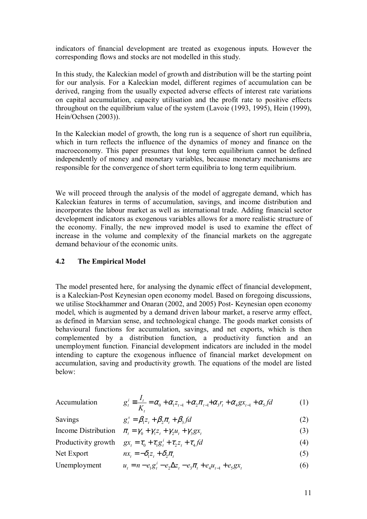indicators of financial development are treated as exogenous inputs. However the corresponding flows and stocks are not modelled in this study.

In this study, the Kaleckian model of growth and distribution will be the starting point for our analysis. For a Kaleckian model, different regimes of accumulation can be derived, ranging from the usually expected adverse effects of interest rate variations on capital accumulation, capacity utilisation and the profit rate to positive effects throughout on the equilibrium value of the system (Lavoie (1993, 1995), Hein (1999), Hein/Ochsen (2003)).

In the Kaleckian model of growth, the long run is a sequence of short run equilibria, which in turn reflects the influence of the dynamics of money and finance on the macroeconomy. This paper presumes that long term equilibrium cannot be defined independently of money and monetary variables, because monetary mechanisms are responsible for the convergence of short term equilibria to long term equilibrium.

We will proceed through the analysis of the model of aggregate demand, which has Kaleckian features in terms of accumulation, savings, and income distribution and incorporates the labour market as well as international trade. Adding financial sector development indicators as exogenous variables allows for a more realistic structure of the economy. Finally, the new improved model is used to examine the effect of increase in the volume and complexity of the financial markets on the aggregate demand behaviour of the economic units.

#### **4.2 The Empirical Model**

The model presented here, for analysing the dynamic effect of financial development, is a Kaleckian-Post Keynesian open economy model. Based on foregoing discussions, we utilise Stockhammer and Onaran (2002, and 2005) Post- Keynesian open economy model, which is augmented by a demand driven labour market, a reserve army effect, as defined in Marxian sense, and technological change. The goods market consists of behavioural functions for accumulation, savings, and net exports, which is then complemented by a distribution function, a productivity function and an unemployment function. Financial development indicators are included in the model intending to capture the exogenous influence of financial market development on accumulation, saving and productivity growth. The equations of the model are listed below:

| Accumulation |
|--------------|
|              |

$$
\text{Accumulation} \qquad g_t^i \equiv \frac{I_t}{K_t} = \alpha_0 + \alpha_1 z_{t-1} + \alpha_2 \pi_{t-1} + \alpha_3 r_t + \alpha_4 g x_{t-1} + \alpha_5 f d \tag{1}
$$

Savings  
\n
$$
g_t^s = \beta_1 z_t + \beta_2 \pi_t + \beta_3 f d
$$
 (2)  
\nIncome Distribution  $\pi_t = \gamma_0 + \gamma_1 z_t + \gamma_2 u_t + \gamma_3 g x_t$  (3)  
\nProductivity growth  $gx_t = \tau_0 + \tau_1 g_t^i + \tau_2 z_t + \tau_4 f d$  (4)  
\nNet export  $nx_t = -\delta_1 z_t + \delta_2 \pi_t$  (5)  
\nUnemployment  $u_t = n - e_1 g_t^i - e_2 \Delta z_t - e_3 \pi_t + e_4 u_{t-1} + e_5 g x_t$  (6)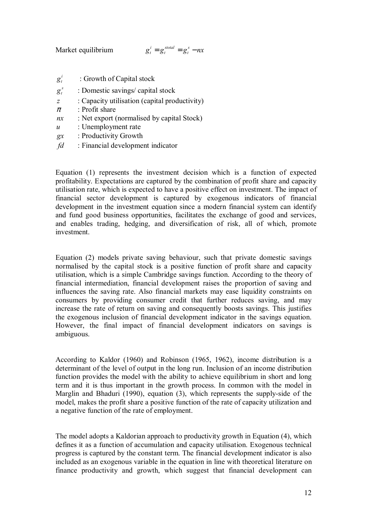Market equilibrium  $g_t^i = g_t^{stotal} = g_t^s - nx$ *stotal t*  $a_t^i = g_t^{stotal} = g_t^s - nx$ 

- $g_t^i$ *<sup>t</sup> g* : Growth of Capital stock
- $g_t^s$ *<sup>t</sup> g* : Domestic savings/ capital stock
- *z* : Capacity utilisation (capital productivity)
- $\pi$  : Profit share
- *nx* : Net export (normalised by capital Stock)
- *u* : Unemployment rate
- *gx* : Productivity Growth
- *fd* : Financial development indicator

Equation (1) represents the investment decision which is a function of expected profitability. Expectations are captured by the combination of profit share and capacity utilisation rate, which is expected to have a positive effect on investment. The impact of financial sector development is captured by exogenous indicators of financial development in the investment equation since a modern financial system can identify and fund good business opportunities, facilitates the exchange of good and services, and enables trading, hedging, and diversification of risk, all of which, promote investment.

Equation (2) models private saving behaviour, such that private domestic savings normalised by the capital stock is a positive function of profit share and capacity utilisation, which is a simple Cambridge savings function. According to the theory of financial intermediation, financial development raises the proportion of saving and influences the saving rate. Also financial markets may ease liquidity constraints on consumers by providing consumer credit that further reduces saving, and may increase the rate of return on saving and consequently boosts savings. This justifies the exogenous inclusion of financial development indicator in the savings equation. However, the final impact of financial development indicators on savings is ambiguous.

According to Kaldor (1960) and Robinson (1965, 1962), income distribution is a determinant of the level of output in the long run. Inclusion of an income distribution function provides the model with the ability to achieve equilibrium in short and long term and it is thus important in the growth process. In common with the model in Marglin and Bhaduri (1990), equation (3), which represents the supply-side of the model, makes the profit share a positive function of the rate of capacity utilization and a negative function of the rate of employment.

The model adopts a Kaldorian approach to productivity growth in Equation (4), which defines it as a function of accumulation and capacity utilisation. Exogenous technical progress is captured by the constant term. The financial development indicator is also included as an exogenous variable in the equation in line with theoretical literature on finance productivity and growth, which suggest that financial development can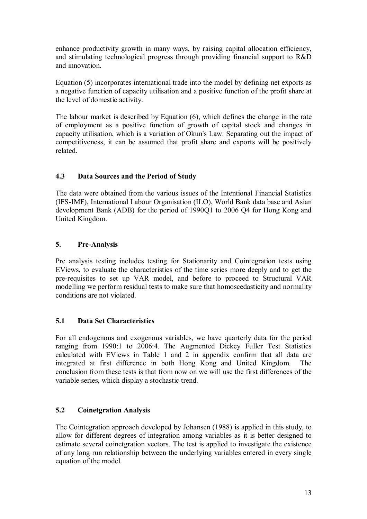enhance productivity growth in many ways, by raising capital allocation efficiency, and stimulating technological progress through providing financial support to R&D and innovation.

Equation (5) incorporates international trade into the model by defining net exports as a negative function of capacity utilisation and a positive function of the profit share at the level of domestic activity.

The labour market is described by Equation (6), which defines the change in the rate of employment as a positive function of growth of capital stock and changes in capacity utilisation, which is a variation of Okun's Law. Separating out the impact of competitiveness, it can be assumed that profit share and exports will be positively related.

## **4.3 Data Sources and the Period of Study**

The data were obtained from the various issues of the Intentional Financial Statistics (IFS-IMF), International Labour Organisation (ILO), World Bank data base and Asian development Bank (ADB) for the period of 1990Q1 to 2006 Q4 for Hong Kong and United Kingdom.

## **5. Pre-Analysis**

Pre analysis testing includes testing for Stationarity and Cointegration tests using EViews, to evaluate the characteristics of the time series more deeply and to get the pre-requisites to set up VAR model, and before to proceed to Structural VAR modelling we perform residual tests to make sure that homoscedasticity and normality conditions are not violated.

## **5.1 Data Set Characteristics**

For all endogenous and exogenous variables, we have quarterly data for the period ranging from 1990:1 to 2006:4. The Augmented Dickey Fuller Test Statistics calculated with EViews in Table 1 and 2 in appendix confirm that all data are integrated at first difference in both Hong Kong and United Kingdom. The conclusion from these tests is that from now on we will use the first differences of the variable series, which display a stochastic trend.

## **5.2 Coinetgration Analysis**

The Cointegration approach developed by Johansen (1988) is applied in this study, to allow for different degrees of integration among variables as it is better designed to estimate several coinetgration vectors. The test is applied to investigate the existence of any long run relationship between the underlying variables entered in every single equation of the model.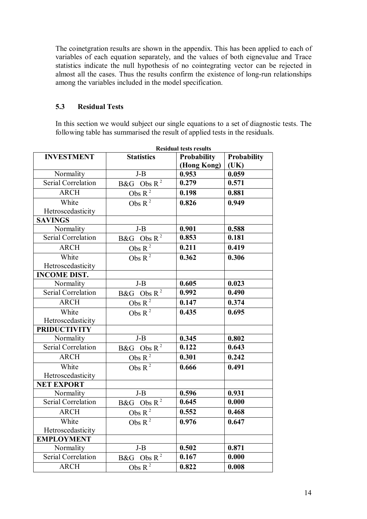The coinetgration results are shown in the appendix. This has been applied to each of variables of each equation separately, and the values of both eignevalue and Trace statistics indicate the null hypothesis of no cointegrating vector can be rejected in almost all the cases. Thus the results confirm the existence of long-run relationships among the variables included in the model specification.

#### **5.3 Residual Tests**

In this section we would subject our single equations to a set of diagnostic tests. The following table has summarised the result of applied tests in the residuals.

| <b>Residual tests results</b> |                          |                    |             |  |  |  |  |  |
|-------------------------------|--------------------------|--------------------|-------------|--|--|--|--|--|
| <b>INVESTMENT</b>             | <b>Statistics</b>        | <b>Probability</b> | Probability |  |  |  |  |  |
|                               |                          | (Hong Kong)        | (UK)        |  |  |  |  |  |
| Normality                     | $J-B$                    | 0.953              | 0.059       |  |  |  |  |  |
| Serial Correlation            | B&G Obs $R^2$            | 0.279              | 0.571       |  |  |  |  |  |
| <b>ARCH</b>                   | Obs $\mathbb{R}^2$       | 0.198              | 0.881       |  |  |  |  |  |
| White                         | Obs $R^2$                | 0.826              | 0.949       |  |  |  |  |  |
| Hetroscedasticity             |                          |                    |             |  |  |  |  |  |
| <b>SAVINGS</b>                |                          |                    |             |  |  |  |  |  |
| Normality                     | $J-B$                    | 0.901              | 0.588       |  |  |  |  |  |
| Serial Correlation            | $B&G$ Obs R <sup>2</sup> | 0.853              | 0.181       |  |  |  |  |  |
| <b>ARCH</b>                   | Obs $R^2$                | 0.211              | 0.419       |  |  |  |  |  |
| White                         | Obs $R^2$                | 0.362              | 0.306       |  |  |  |  |  |
| Hetroscedasticity             |                          |                    |             |  |  |  |  |  |
| <b>INCOME DIST.</b>           |                          |                    |             |  |  |  |  |  |
| Normality                     | $J-B$                    | 0.605              | 0.023       |  |  |  |  |  |
| Serial Correlation            | B&G Obs $R^2$            | 0.992              | 0.490       |  |  |  |  |  |
| <b>ARCH</b>                   | Obs $\mathbf{R}^{\,2}$   | 0.147              | 0.374       |  |  |  |  |  |
| White                         | Obs $R^2$                | 0.435              | 0.695       |  |  |  |  |  |
| Hetroscedasticity             |                          |                    |             |  |  |  |  |  |
| <b>PRIDUCTIVITY</b>           |                          |                    |             |  |  |  |  |  |
| Normality                     | $J-B$                    | 0.345              | 0.802       |  |  |  |  |  |
| Serial Correlation            | B&G Obs $R^2$            | 0.122              | 0.643       |  |  |  |  |  |
| <b>ARCH</b>                   | Obs $R^2$                | 0.301              | 0.242       |  |  |  |  |  |
| White                         | Obs $R^2$                | 0.666              | 0.491       |  |  |  |  |  |
| Hetroscedasticity             |                          |                    |             |  |  |  |  |  |
| <b>NET EXPORT</b>             |                          |                    |             |  |  |  |  |  |
| Normality                     | $J-B$                    | 0.596              | 0.931       |  |  |  |  |  |
| Serial Correlation            | $B&G$ Obs R <sup>2</sup> | 0.645              | 0.000       |  |  |  |  |  |
| <b>ARCH</b>                   | Obs $R^2$                | 0.552              | 0.468       |  |  |  |  |  |
| White                         | Obs $R^2$                | 0.976              | 0.647       |  |  |  |  |  |
| Hetroscedasticity             |                          |                    |             |  |  |  |  |  |
| <b>EMPLOYMENT</b>             |                          |                    |             |  |  |  |  |  |
| Normality                     | $J-B$                    | 0.502              | 0.871       |  |  |  |  |  |
| Serial Correlation            | Obs $R^2$<br>B&G         | 0.167              | 0.000       |  |  |  |  |  |
| <b>ARCH</b>                   | Obs $\mathbf{R}^2$       | 0.822              | 0.008       |  |  |  |  |  |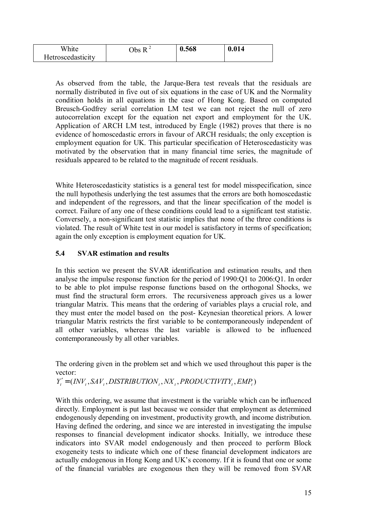| White             | $\mathbf{r}$<br>$_{\rm Obs}$ | 0.568 | 0.014 |
|-------------------|------------------------------|-------|-------|
| Hetroscedasticity |                              |       |       |

As observed from the table, the Jarque-Bera test reveals that the residuals are normally distributed in five out of six equations in the case of UK and the Normality condition holds in all equations in the case of Hong Kong. Based on computed Breusch-Godfrey serial correlation LM test we can not reject the null of zero autocorrelation except for the equation net export and employment for the UK. Application of ARCH LM test, introduced by Engle (1982) proves that there is no evidence of homoscedastic errors in favour of ARCH residuals; the only exception is employment equation for UK. This particular specification of Heteroscedasticity was motivated by the observation that in many financial time series, the magnitude of residuals appeared to be related to the magnitude of recent residuals.

White Heteroscedasticity statistics is a general test for model misspecification, since the null hypothesis underlying the test assumes that the errors are both homoscedastic and independent of the regressors, and that the linear specification of the model is correct. Failure of any one of these conditions could lead to a significant test statistic. Conversely, a non-significant test statistic implies that none of the three conditions is violated. The result of White test in our model is satisfactory in terms of specification; again the only exception is employment equation for UK.

## **5.4 SVAR estimation and results**

In this section we present the SVAR identification and estimation results, and then analyse the impulse response function for the period of 1990:Q1 to 2006:Q1. In order to be able to plot impulse response functions based on the orthogonal Shocks, we must find the structural form errors. The recursiveness approach gives us a lower triangular Matrix. This means that the ordering of variables plays a crucial role, and they must enter the model based on the post- Keynesian theoretical priors. A lower triangular Matrix restricts the first variable to be contemporaneously independent of all other variables, whereas the last variable is allowed to be influenced contemporaneously by all other variables.

The ordering given in the problem set and which we used throughout this paper is the vector:

 $Y'_i = (INV_{i, SAV_{i, DISTRIBUTION_{i, NX_i, PRODUCTIVITY_{i, EMP_i}})$ 

With this ordering, we assume that investment is the variable which can be influenced directly. Employment is put last because we consider that employment as determined endogenously depending on investment, productivity growth, and income distribution. Having defined the ordering, and since we are interested in investigating the impulse responses to financial development indicator shocks. Initially, we introduce these indicators into SVAR model endogenously and then proceed to perform Block exogeneity tests to indicate which one of these financial development indicators are actually endogenous in Hong Kong and UK's economy. If it is found that one or some of the financial variables are exogenous then they will be removed from SVAR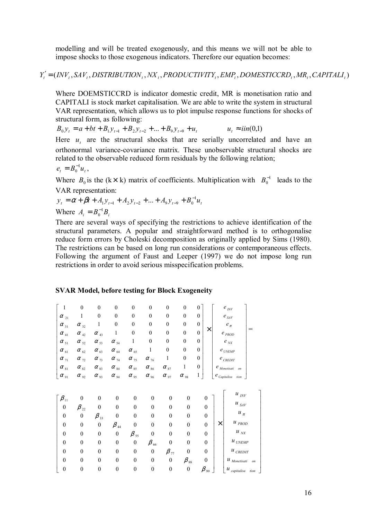modelling and will be treated exogenously, and this means we will not be able to impose shocks to those exogenous indicators. Therefore our equation becomes:

 $Y'_i = (INV'_i, SAV'_i, DISTRIBUTION_i, NX'_i, PRODUCTIVITY_i, EMP_i, DOMESTICCRD_i, MR_i, CAPITALI_i$ 

Where DOEMSTICCRD is indicator domestic credit, MR is monetisation ratio and CAPITALI is stock market capitalisation. We are able to write the system in structural VAR representation, which allows us to plot impulse response functions for shocks of structural form, as following:

$$
B_0 y_t = a + bt + B_1 y_{t-1} + B_2 y_{t-2} + \dots + B_9 y_{t-9} + u_t \qquad u_t \approx i i n (0,1)
$$

Here  $u_t$  are the structural shocks that are serially uncorrelated and have an orthonormal variance-covariance matrix. These unobservable structural shocks are related to the observable reduced form residuals by the following relation;

$$
e_t=B_0^{-1}u_t,
$$

Where  $B_0$  is the (k \ k) matrix of coefficients. Multiplication with  $B_0^{-1}$  leads to the VAR representation:

$$
y_t = \alpha + \beta t + A_1 y_{t-1} + A_2 y_{t-2} + \dots + A_9 y_{t-9} + B_0^{-1} u_t
$$
  
Where 
$$
A_i = B_0^{-1} B_i
$$

There are several ways of specifying the restrictions to achieve identification of the structural parameters. A popular and straightforward method is to orthogonalise reduce form errors by Choleski decomposition as originally applied by Sims (1980). The restrictions can be based on long run considerations or contemporaneous effects. Following the argument of Faust and Leeper (1997) we do not impose long run restrictions in order to avoid serious misspecification problems.

#### **SVAR Model, before testing for Block Exogeneity**

| $\,1\,$                          | $\boldsymbol{0}$ | $\boldsymbol{0}$                 | $\boldsymbol{0}$                          | $\boldsymbol{0}$                 | $\boldsymbol{0}$                    | $\boldsymbol{0}$                          | $\boldsymbol{0}$ | 0                     |   | $e_\textit{INV}$                            |  |
|----------------------------------|------------------|----------------------------------|-------------------------------------------|----------------------------------|-------------------------------------|-------------------------------------------|------------------|-----------------------|---|---------------------------------------------|--|
| $\alpha_{_{21}}$                 | $\mathbf{1}$     | $\boldsymbol{0}$                 | $\boldsymbol{0}$                          | $\boldsymbol{0}$                 | $\boldsymbol{0}$                    | $\boldsymbol{0}$                          | $\boldsymbol{0}$ | $\boldsymbol{0}$      |   | $e_{\scriptscriptstyle\mathit{SAV}}$        |  |
| $\alpha_{31}$                    | $\alpha_{_{32}}$ | 1                                | $\boldsymbol{0}$                          | $\boldsymbol{0}$                 | $\boldsymbol{0}$                    | $\boldsymbol{0}$                          | $\boldsymbol{0}$ | $\boldsymbol{0}$      |   | $e_\pi$                                     |  |
| $\alpha_{_{41}}$                 | $\alpha_{_{42}}$ | $\alpha$ <sub>43</sub>           | 1                                         | $\boldsymbol{0}$                 | $\boldsymbol{0}$                    | $\boldsymbol{0}$                          | $\boldsymbol{0}$ | X<br>$\boldsymbol{0}$ |   | $e_\mathit{PROD}$                           |  |
| $\alpha_{\scriptscriptstyle 51}$ | $\alpha_{52}$    | $\alpha_{53}$                    | $\alpha_{\scriptscriptstyle 54}$          | 1                                | $\boldsymbol{0}$                    | $\boldsymbol{0}$                          | $\boldsymbol{0}$ | $\boldsymbol{0}$      |   | $e_{_{\it NN}}$                             |  |
| $\alpha_{_{61}}$                 | $\alpha_{_{62}}$ | $\alpha_{_{63}}$                 | $\alpha_{_{64}}$                          | $\alpha_{\scriptscriptstyle 65}$ | $\mathbf{1}$                        | $\boldsymbol{0}$                          | $\boldsymbol{0}$ | $\boldsymbol{0}$      |   | $e_{\it UNEMP}$                             |  |
| $\alpha_{\frac{71}{2}}$          | $\alpha_{72}$    | $\alpha_{\frac{73}{2}}$          | $\alpha_{\frac{74}{2}}$                   | $\alpha$ <sub>75</sub>           | $\alpha_{\atop 76}$                 | 1                                         | $\boldsymbol{0}$ | $\boldsymbol{0}$      |   | $e_{\it CREDIT}$                            |  |
| $\alpha_{\, {\rm s} {\rm 1}}$    | $\alpha_{_{82}}$ | $\alpha_{_{83}}$                 | $\alpha_{\hbox{\tiny 84}}$                | $\alpha_{_{85}}$                 | $\alpha_{_{86}}$                    | $\alpha_{s7}$                             | 1                | $\boldsymbol{0}$      |   | $e$ $_{Monetisati \ \ on}$                  |  |
| $\alpha_{\scriptscriptstyle 91}$ | $\alpha_{92}$    | $\alpha_{93}$                    | $\alpha_{_{94}}$                          | $\alpha$ $_{95}$                 | $\alpha_{\scriptscriptstyle 96}$    | $\alpha$ $_{97}$                          | $\alpha$ $_{98}$ | 1                     |   | $e_{\mathit{Capitalisa}}$<br>tion           |  |
|                                  |                  |                                  |                                           |                                  |                                     |                                           |                  |                       |   |                                             |  |
|                                  |                  |                                  |                                           |                                  |                                     |                                           |                  |                       |   |                                             |  |
|                                  |                  |                                  |                                           |                                  |                                     |                                           |                  |                       |   |                                             |  |
| $\beta_{11}$                     | $\boldsymbol{0}$ | $\boldsymbol{0}$                 | $\boldsymbol{0}$                          | $\boldsymbol{0}$                 | $\boldsymbol{0}$                    | $\boldsymbol{0}$                          | $\boldsymbol{0}$ | $\boldsymbol{0}$      |   | $u_{\textit{\text{INV}}}$                   |  |
| $\boldsymbol{0}$                 | $\beta_{22}$     | $\boldsymbol{0}$                 | $\boldsymbol{0}$                          | $\boldsymbol{0}$                 | $\boldsymbol{0}$                    | $\boldsymbol{0}$                          | $\boldsymbol{0}$ | $\boldsymbol{0}$      |   | $u_{\, \, \mathrm SM}$                      |  |
| $\boldsymbol{0}$                 | $\boldsymbol{0}$ |                                  | $\boldsymbol{0}$                          | $\boldsymbol{0}$                 | $\boldsymbol{0}$                    | $\boldsymbol{0}$                          | $\boldsymbol{0}$ | $\boldsymbol{0}$      |   | $u_{\pi}$                                   |  |
| $\boldsymbol{0}$                 | $\boldsymbol{0}$ | $\beta_{33}$<br>$\boldsymbol{0}$ |                                           | $\boldsymbol{0}$                 | $\boldsymbol{0}$                    | $\boldsymbol{0}$                          | $\boldsymbol{0}$ | $\boldsymbol{0}$      | × | $\boldsymbol{u}$ $_{PROD}$                  |  |
| $\boldsymbol{0}$                 | $\boldsymbol{0}$ | $\boldsymbol{0}$                 | $\beta$ <sub>44</sub><br>$\boldsymbol{0}$ |                                  | $\boldsymbol{0}$                    | $\boldsymbol{0}$                          | $\boldsymbol{0}$ | $\boldsymbol{0}$      |   | $\boldsymbol{u}_{\mathit{N\!X}}$            |  |
| $\boldsymbol{0}$                 | $\boldsymbol{0}$ | $\boldsymbol{0}$                 | $\boldsymbol{0}$                          | $\beta_{55}$<br>$\boldsymbol{0}$ |                                     | $\boldsymbol{0}$                          | $\boldsymbol{0}$ | $\boldsymbol{0}$      |   | $\boldsymbol{\mathcal{U}}_{\textit{UNEMP}}$ |  |
| $\boldsymbol{0}$                 | $\boldsymbol{0}$ | $\boldsymbol{0}$                 | $\boldsymbol{0}$                          | $\boldsymbol{0}$                 | $\beta$ $_{66}$<br>$\boldsymbol{0}$ |                                           | $\boldsymbol{0}$ | $\boldsymbol{0}$      |   | $\boldsymbol{u}$ $_{\textit{CREDIT}}$       |  |
| $\mathbf{0}$                     | $\boldsymbol{0}$ | $\boldsymbol{0}$                 | $\boldsymbol{0}$                          | $\boldsymbol{0}$                 | $\boldsymbol{0}$                    | $\beta$ <sub>77</sub><br>$\boldsymbol{0}$ | $\beta_{\,88}$   | $\boldsymbol{0}$      |   | $u$ <sub>Monetisati</sub><br>on             |  |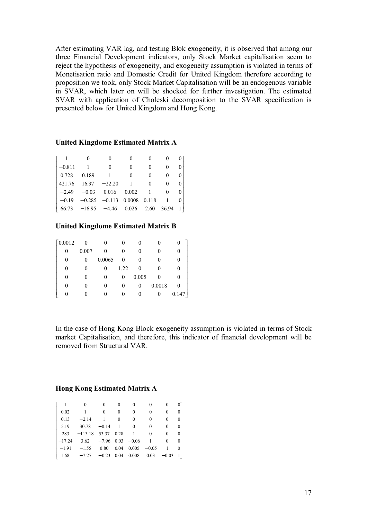After estimating VAR lag, and testing Blok exogeneity, it is observed that among our three Financial Development indicators, only Stock Market capitalisation seem to reject the hypothesis of exogeneity, and exogeneity assumption is violated in terms of Monetisation ratio and Domestic Credit for United Kingdom therefore according to proposition we took, only Stock Market Capitalisation will be an endogenous variable in SVAR, which later on will be shocked for further investigation. The estimated SVAR with application of Choleski decomposition to the SVAR specification is presented below for United Kingdom and Hong Kong.

#### **United Kingdome Estimated Matrix A**

| $-0.811$ |                                                                               | 0 |  |  |
|----------|-------------------------------------------------------------------------------|---|--|--|
| 0.728    | 0.189                                                                         |   |  |  |
|          | $421.76$ $16.37$ $-22.20$                                                     |   |  |  |
|          | $-2.49 -0.03$ 0.016 0.002                                                     |   |  |  |
|          | $-0.19$ $-0.285$ $-0.113$ 0.0008 0.118                                        |   |  |  |
|          | $\begin{bmatrix} 66.73 & -16.95 & -4.46 & 0.026 & 2.60 & 36.94 \end{bmatrix}$ |   |  |  |

#### **United Kingdome Estimated Matrix B**

| $\lceil 0.0012 \rceil$ | $\boldsymbol{0}$ |        |          |          |               |          |
|------------------------|------------------|--------|----------|----------|---------------|----------|
| 0                      | 0.007            | 0      | $\theta$ |          | 0             |          |
| 0                      | 0                | 0.0065 | 0        |          | $\mathcal{O}$ |          |
| 0                      |                  | 0      | 1.22     | 0        | 0             |          |
| 0                      | $\theta$         | 0      | $_{0}$   | 0.005    | 0             |          |
| 0                      |                  | 0      | $_{0}$   | $\theta$ | 0.0018        | $\theta$ |
|                        |                  |        | 0        |          | $\theta$      | 0.147    |

In the case of Hong Kong Block exogeneity assumption is violated in terms of Stock market Capitalisation, and therefore, this indicator of financial development will be removed from Structural VAR.

#### **Hong Kong Estimated Matrix A**

| 0.02 |                                                | 0 |          | 0             | 0            |          | 0 |
|------|------------------------------------------------|---|----------|---------------|--------------|----------|---|
| 0.13 | $-2.14$                                        |   | $\theta$ | $\Omega$      | 0            | 0        | 0 |
| 5.19 | $30.78 - 0.14$ 1                               |   |          | $\Omega$      | 0            | $\Omega$ | 0 |
|      | $283 - 113.18$ 53.37 0.28                      |   |          | $\frac{1}{2}$ | $\theta$     | $\Omega$ | 0 |
|      | $-17.24$ 3.62 $-7.96$ 0.03 $-0.06$             |   |          |               | $\mathbf{1}$ | 0        | 0 |
|      | $-1.91 -1.55$ 0.80 0.04 0.005 $-0.05$          |   |          |               |              |          | 0 |
|      | $1.68$ $-7.27$ $-0.23$ 0.04 0.008 0.03 $-0.03$ |   |          |               |              |          |   |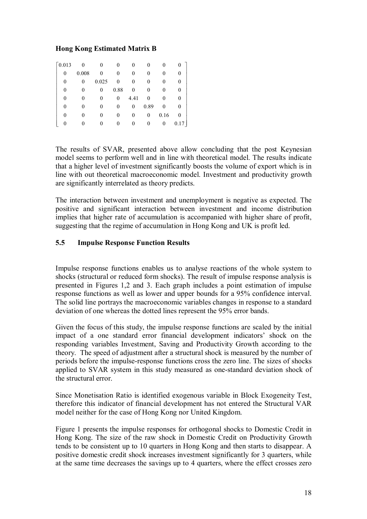#### **Hong Kong Estimated Matrix B**

| $\lceil 0.013 \rceil$ |          |       |      |      | 0    |      | 0        |
|-----------------------|----------|-------|------|------|------|------|----------|
| 0                     | 0.008    |       |      | 0    | 0    |      | $\theta$ |
| 0                     | $\theta$ | 0.025 | 0    | 0    | 0    |      | 0        |
| 0                     | 0        | 0     | 0.88 | 0    | 0    |      | $_{0}$   |
|                       |          |       | 0    | 4.41 | 0    |      | 0        |
|                       |          |       | 0    | 0    | 0.89 | 0    | 0        |
|                       |          |       |      | 0    | 0    | 0.16 | 0        |
|                       |          |       |      | 0    | 0    | 0    | 0.17     |

The results of SVAR, presented above allow concluding that the post Keynesian model seems to perform well and in line with theoretical model. The results indicate that a higher level of investment significantly boosts the volume of export which is in line with out theoretical macroeconomic model. Investment and productivity growth are significantly interrelated as theory predicts.

The interaction between investment and unemployment is negative as expected. The positive and significant interaction between investment and income distribution implies that higher rate of accumulation is accompanied with higher share of profit, suggesting that the regime of accumulation in Hong Kong and UK is profit led.

#### **5.5 Impulse Response Function Results**

Impulse response functions enables us to analyse reactions of the whole system to shocks (structural or reduced form shocks). The result of impulse response analysis is presented in Figures 1,2 and 3. Each graph includes a point estimation of impulse response functions as well as lower and upper bounds for a 95% confidence interval. The solid line portrays the macroeconomic variables changes in response to a standard deviation of one whereas the dotted lines represent the 95% error bands.

Given the focus of this study, the impulse response functions are scaled by the initial impact of a one standard error financial development indicators' shock on the responding variables Investment, Saving and Productivity Growth according to the theory. The speed of adjustment after a structural shock is measured by the number of periods before the impulse-response functions cross the zero line. The sizes of shocks applied to SVAR system in this study measured as one-standard deviation shock of the structural error.

Since Monetisation Ratio is identified exogenous variable in Block Exogeneity Test, therefore this indicator of financial development has not entered the Structural VAR model neither for the case of Hong Kong nor United Kingdom.

Figure 1 presents the impulse responses for orthogonal shocks to Domestic Credit in Hong Kong. The size of the raw shock in Domestic Credit on Productivity Growth tends to be consistent up to 10 quarters in Hong Kong and then starts to disappear. A positive domestic credit shock increases investment significantly for 3 quarters, while at the same time decreases the savings up to 4 quarters, where the effect crosses zero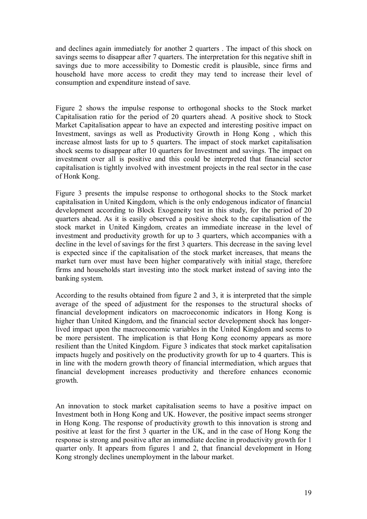and declines again immediately for another 2 quarters . The impact of this shock on savings seems to disappear after 7 quarters. The interpretation for this negative shift in savings due to more accessibility to Domestic credit is plausible, since firms and household have more access to credit they may tend to increase their level of consumption and expenditure instead of save.

Figure 2 shows the impulse response to orthogonal shocks to the Stock market Capitalisation ratio for the period of 20 quarters ahead. A positive shock to Stock Market Capitalisation appear to have an expected and interesting positive impact on Investment, savings as well as Productivity Growth in Hong Kong , which this increase almost lasts for up to 5 quarters. The impact of stock market capitalisation shock seems to disappear after 10 quarters for Investment and savings. The impact on investment over all is positive and this could be interpreted that financial sector capitalisation is tightly involved with investment projects in the real sector in the case of Honk Kong.

Figure 3 presents the impulse response to orthogonal shocks to the Stock market capitalisation in United Kingdom, which is the only endogenous indicator of financial development according to Block Exogeneity test in this study, for the period of 20 quarters ahead. As it is easily observed a positive shock to the capitalisation of the stock market in United Kingdom, creates an immediate increase in the level of investment and productivity growth for up to 3 quarters, which accompanies with a decline in the level of savings for the first 3 quarters. This decrease in the saving level is expected since if the capitalisation of the stock market increases, that means the market turn over must have been higher comparatively with initial stage, therefore firms and households start investing into the stock market instead of saving into the banking system.

According to the results obtained from figure 2 and 3, it is interpreted that the simple average of the speed of adjustment for the responses to the structural shocks of financial development indicators on macroeconomic indicators in Hong Kong is higher than United Kingdom, and the financial sector development shock has longerlived impact upon the macroeconomic variables in the United Kingdom and seems to be more persistent. The implication is that Hong Kong economy appears as more resilient than the United Kingdom. Figure 3 indicates that stock market capitalisation impacts hugely and positively on the productivity growth for up to 4 quarters. This is in line with the modern growth theory of financial intermediation, which argues that financial development increases productivity and therefore enhances economic growth.

An innovation to stock market capitalisation seems to have a positive impact on Investment both in Hong Kong and UK. However, the positive impact seems stronger in Hong Kong. The response of productivity growth to this innovation is strong and positive at least for the first 3 quarter in the UK, and in the case of Hong Kong the response is strong and positive after an immediate decline in productivity growth for 1 quarter only. It appears from figures 1 and 2, that financial development in Hong Kong strongly declines unemployment in the labour market.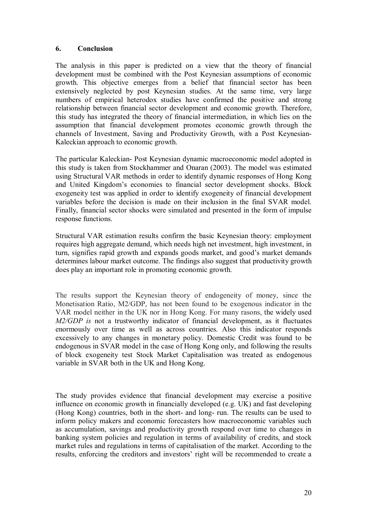#### **6. Conclusion**

The analysis in this paper is predicted on a view that the theory of financial development must be combined with the Post Keynesian assumptions of economic growth. This objective emerges from a belief that financial sector has been extensively neglected by post Keynesian studies. At the same time, very large numbers of empirical heterodox studies have confirmed the positive and strong relationship between financial sector development and economic growth. Therefore, this study has integrated the theory of financial intermediation, in which lies on the assumption that financial development promotes economic growth through the channels of Investment, Saving and Productivity Growth, with a Post Keynesian-Kaleckian approach to economic growth.

The particular Kaleckian- Post Keynesian dynamic macroeconomic model adopted in this study is taken from Stockhammer and Onaran (2003). The model was estimated using Structural VAR methods in order to identify dynamic responses of Hong Kong and United Kingdom's economies to financial sector development shocks. Block exogeneity test was applied in order to identify exogeneity of financial development variables before the decision is made on their inclusion in the final SVAR model. Finally, financial sector shocks were simulated and presented in the form of impulse response functions.

Structural VAR estimation results confirm the basic Keynesian theory: employment requires high aggregate demand, which needs high net investment, high investment, in turn, signifies rapid growth and expands goods market, and good's market demands determines labour market outcome. The findings also suggest that productivity growth does play an important role in promoting economic growth.

The results support the Keynesian theory of endogeneity of money, since the Monetisation Ratio, M2/GDP, has not been found to be exogenous indicator in the VAR model neither in the UK nor in Hong Kong. For many rasons, the widely used *M2/GDP is* not a trustworthy indicator of financial development, as it fluctuates enormously over time as well as across countries. Also this indicator responds excessively to any changes in monetary policy. Domestic Credit was found to be endogenous in SVAR model in the case of Hong Kong only, and following the results of block exogeneity test Stock Market Capitalisation was treated as endogenous variable in SVAR both in the UK and Hong Kong.

The study provides evidence that financial development may exercise a positive influence on economic growth in financially developed (e.g. UK) and fast developing (Hong Kong) countries, both in the short- and long- run. The results can be used to inform policy makers and economic forecasters how macroeconomic variables such as accumulation, savings and productivity growth respond over time to changes in banking system policies and regulation in terms of availability of credits, and stock market rules and regulations in terms of capitalisation of the market. According to the results, enforcing the creditors and investors' right will be recommended to create a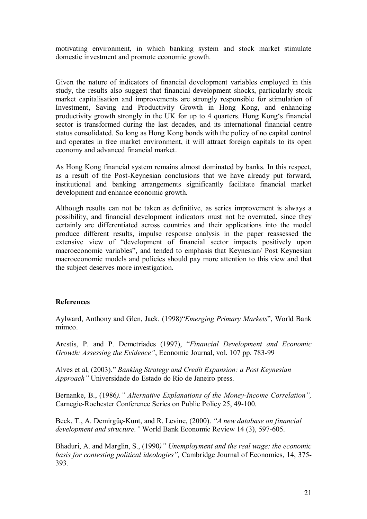motivating environment, in which banking system and stock market stimulate domestic investment and promote economic growth.

Given the nature of indicators of financial development variables employed in this study, the results also suggest that financial development shocks, particularly stock market capitalisation and improvements are strongly responsible for stimulation of Investment, Saving and Productivity Growth in Hong Kong, and enhancing productivity growth strongly in the UK for up to 4 quarters. Hong Kongës financial sector is transformed during the last decades, and its international financial centre status consolidated. So long as Hong Kong bonds with the policy of no capital control and operates in free market environment, it will attract foreign capitals to its open economy and advanced financial market.

As Hong Kong financial system remains almost dominated by banks. In this respect, as a result of the Post-Keynesian conclusions that we have already put forward, institutional and banking arrangements significantly facilitate financial market development and enhance economic growth.

Although results can not be taken as definitive, as series improvement is always a possibility, and financial development indicators must not be overrated, since they certainly are differentiated across countries and their applications into the model produce different results, impulse response analysis in the paper reassessed the extensive view of "development of financial sector impacts positively upon macroeconomic variables", and tended to emphasis that Keynesian/ Post Keynesian macroeconomic models and policies should pay more attention to this view and that the subject deserves more investigation.

#### **References**

Aylward, Anthony and Glen, Jack. (1998)"*Emerging Primary Markets*", World Bank mimeo.

Arestis, P. and P. Demetriades (1997), *"Financial Development and Economic Growth: Assessing the Evidence*", Economic Journal, vol. 107 pp. 783-99

Alves et al, (2003)." *Banking Strategy and Credit Expansion: a Post Keynesian Approachî* Universidade do Estado do Rio de Janeiro press.

Bernanke, B., (1986).<sup>*n*</sup> Alternative Explanations of the Money-Income Correlation<sup>*n*</sup>, Carnegie-Rochester Conference Series on Public Policy 25, 49-100.

Beck, T., A. Demirgüç-Kunt, and R. Levine, (2000). *"A new database on financial development and structure. "* World Bank Economic Review 14 (3), 597-605.

Bhaduri, A. and Marglin, S., (1990*)*" *Unemployment and the real wage: the economic basis for contesting political ideologiesî,* Cambridge Journal of Economics, 14, 375- 393.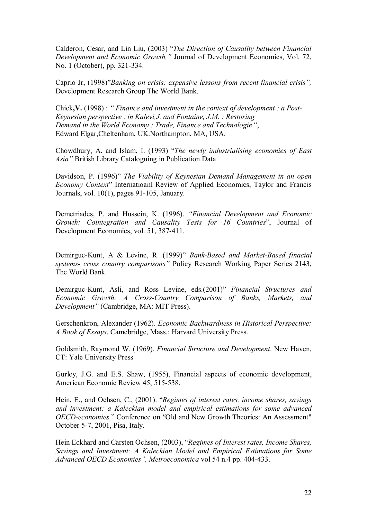Calderon, Cesar, and Lin Liu, (2003) *<i>'The Direction of Causality between Financial Development and Economic Growth,*" Journal of Development Economics, Vol. 72, No. 1 (October), pp. 321-334.

Caprio Jr, (1998)<sup>*"Banking on crisis: expensive lessons from recent financial crisis"*,</sup> Development Research Group The World Bank.

Chick**,V.** (1998) : *ì Finance and investment in the context of development : a Post-Keynesian perspective , in Kalevi,J. and Fontaine, J.M. : Restoring Demand in the World Economy : Trade, Finance and Technologie ".* Edward Elgar,Cheltenham, UK.Northampton, MA, USA.

Chowdhury, A. and Islam, I. (1993) *'The newly industrialising economies of East Asiaî* British Library Cataloguing in Publication Data

Davidson, P. (1996)<sup>"</sup> *The Viability of Keynesian Demand Management in an open Economy Context*" Internatioanl Review of Applied Economics, Taylor and Francis Journals, vol. 10(1), pages 91-105, January.

Demetriades, P. and Hussein, K. (1996). *"Financial Development and Economic Growth: Cointegration and Causality Tests for 16 Countries*î, Journal of Development Economics, vol. 51, 387-411.

Demirguc-Kunt, A & Levine, R. (1999)" *Bank-Based and Market-Based finacial systems- cross country comparisonsî* Policy Research Working Paper Series 2143, The World Bank.

Demirguc-Kunt, Asli, and Ross Levine, eds.(2001)" *Financial Structures and Economic Growth: A Cross-Country Comparison of Banks, Markets, and Development*" (Cambridge, MA: MIT Press).

Gerschenkron, Alexander (1962). *Economic Backwardness in Historical Perspective: A Book of Essays*. Camebridge, Mass.: Harvard University Press.

Goldsmith, Raymond W. (1969). *Financial Structure and Development*. New Haven, CT: Yale University Press

Gurley, J.G. and E.S. Shaw, (1955), Financial aspects of economic development, American Economic Review 45, 515-538.

Hein, E., and Ochsen, C., (2001). *''Regimes of interest rates, income shares, savings and investment: a Kaleckian model and empirical estimations for some advanced OECD-economies,*<sup>n</sup> Conference on "Old and New Growth Theories: An Assessment" October 5-7, 2001, Pisa, Italy.

Hein Eckhard and Carsten Ochsen, (2003), "Regimes of Interest rates, Income Shares, *Savings and Investment: A Kaleckian Model and Empirical Estimations for Some Advanced OECD Economiesî, Metroeconomica* vol 54 n.4 pp. 404-433.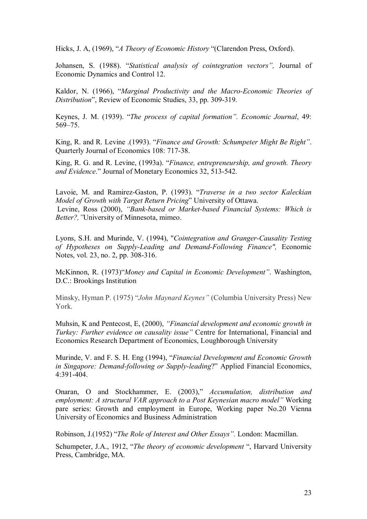Hicks, J. A, (1969), "*A Theory of Economic History* "(Clarendon Press, Oxford).

Johansen, S. (1988). *''Statistical analysis of cointegration vectors''*, Journal of Economic Dynamics and Control 12.

Kaldor, N. (1966), *"Marginal Productivity and the Macro-Economic Theories of Distribution*î, Review of Economic Studies, 33, pp. 309-319.

Keynes, J. M. (1939). "The process of capital formation". *Economic Journal*, 49:  $569 - 75.$ 

King, R. and R. Levine .(1993). *''Finance and Growth: Schumpeter Might Be Right''*. Quarterly Journal of Economics 108: 717-38.

King, R. G. and R. Levine, (1993a). *''Finance, entrepreneurship, and growth. Theory and Evidence*.î Journal of Monetary Economics 32, 513-542.

Lavoie, M. and Ramirez-Gaston, P. (1993). *"Traverse in a two sector Kaleckian Model of Growth with Target Return Pricing*î University of Ottawa. Levine, Ross (2000), *"Bank-based or Market-based Financial Systems: Which is Better?,* "University of Minnesota, mimeo.

Lyons, S.H. and Murinde, V. (1994), "*Cointegration and Granger-Causality Testing of Hypotheses on Supply-Leading and Demand-Following Finance",* Economic Notes, vol. 23, no. 2, pp. 308-316.

McKinnon, R. (1973)<sup>a</sup>*Money and Capital in Economic Development*<sup>"</sup>. Washington, D.C.: Brookings Institution

Minsky, Hyman P. (1975) *''John Maynard Keynes''* (Columbia University Press) New York.

Muhsin, K and Pentecost, E, (2000), *"Financial development and economic growth in Turkey: Further evidence on causality issue*" Centre for International, Financial and Economics Research Department of Economics, Loughborough University

Murinde, V. and F. S. H. Eng (1994), *''Financial Development and Economic Growth in Singapore: Demand-following or Supply-leading?*" Applied Financial Economics, 4:391-404.

Onaran, O and Stockhammer, E. (2003)," *Accumulation, distribution and employment: A structural VAR approach to a Post Keynesian macro model*" Working pare series: Growth and employment in Europe, Working paper No.20 Vienna University of Economics and Business Administration

Robinson, J.(1952) *'The Role of Interest and Other Essays''*. London: Macmillan.

Schumpeter, J.A., 1912, *'The theory of economic development* ", Harvard University Press, Cambridge, MA.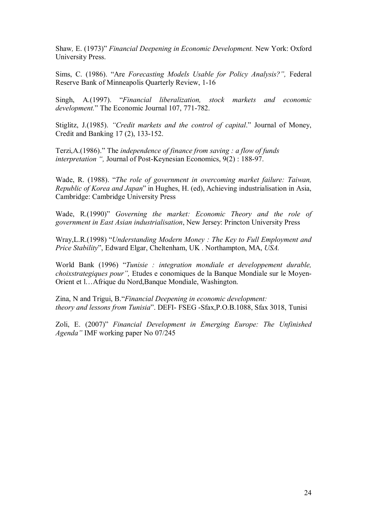Shaw, E. (1973)" *Financial Deepening in Economic Development*. New York: Oxford University Press.

Sims, C. (1986). "Are *Forecasting Models Usable for Policy Analysis?"*, Federal Reserve Bank of Minneapolis Quarterly Review, 1-16

Singh, A.(1997). *<i>Financial liberalization*, stock markets and economic *development.*î The Economic Journal 107, 771-782.

Stiglitz, J.(1985). *"Credit markets and the control of capital*." Journal of Money, Credit and Banking 17 (2), 133-152.

Terzi, A.(1986)." The *independence of finance from saving : a flow of funds interpretation* ", Journal of Post-Keynesian Economics,  $9(2)$ : 188-97.

Wade, R. (1988). *"The role of government in overcoming market failure: Taiwan, Republic of Korea and Japan*î in Hughes, H. (ed), Achieving industrialisation in Asia, Cambridge: Cambridge University Press

Wade, R.(1990)" *Governing the market: Economic Theory and the role of government in East Asian industrialisation*, New Jersey: Princton University Press

Wray, L.R.(1998) *"Understanding Modern Money : The Key to Full Employment and Price Stability*î, Edward Elgar, Cheltenham, UK . Northampton, MA, *USA.*

World Bank (1996) *"Tunisie : integration mondiale et developpement durable, choixstrategiques pour*", Etudes e conomiques de la Banque Mondiale sur le Moyen-Orient et l...Afrique du Nord,Banque Mondiale, Washington.

Zina, N and Trigui, B.<sup>*"Financial Deepening in economic development:*</sup> *theory and lessons from Tunisia*î. DEFI- FSEG -Sfax,P.O.B.1088, Sfax 3018, Tunisi

Zoli, E. (2007)" *Financial Development in Emerging Europe: The Unfinished Agenda*" **IMF** working paper No 07/245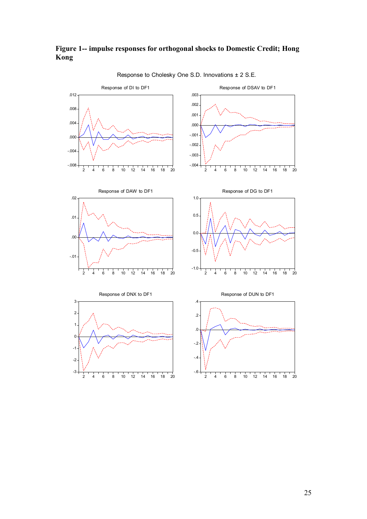#### **Figure 1-- impulse responses for orthogonal shocks to Domestic Credit; Hong Kong**



Response to Cholesky One S.D. Innovations ± 2 S.E.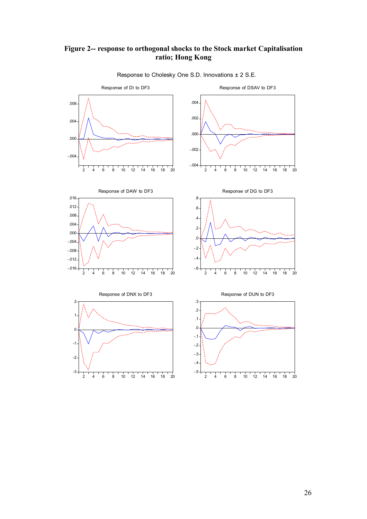#### **Figure 2-- response to orthogonal shocks to the Stock market Capitalisation ratio; Hong Kong**



Response to Cholesky One S.D. Innovations ± 2 S.E.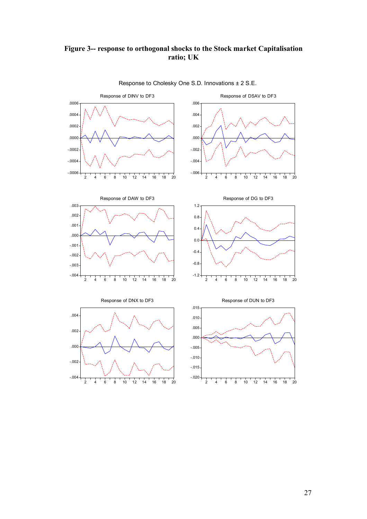## **Figure 3-- response to orthogonal shocks to the Stock market Capitalisation ratio; UK**



Response to Cholesky One S.D. Innovations ± 2 S.E.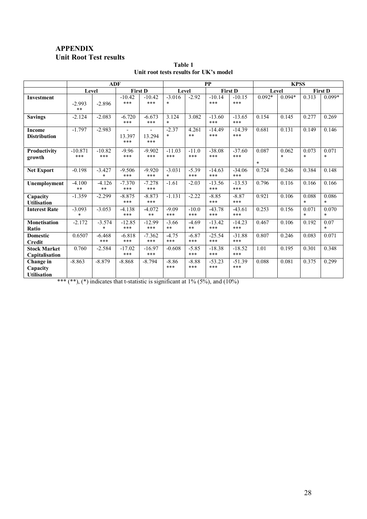### **APPENDIX Unit Root Test results**

|                                             |                    | <b>ADF</b>             |                                 |                                           | <b>PP</b>             |                |                 |                   | <b>KPSS</b>     |                  |                  |                  |
|---------------------------------------------|--------------------|------------------------|---------------------------------|-------------------------------------------|-----------------------|----------------|-----------------|-------------------|-----------------|------------------|------------------|------------------|
|                                             | Level              |                        |                                 | <b>First D</b>                            | Level                 |                |                 | <b>First D</b>    | Level           |                  |                  | <b>First D</b>   |
| <b>Investment</b>                           | $-2.993$<br>**     | $-2.896$               | $-10.42$<br>***                 | $-10.42$<br>***                           | $-3.016$<br>$\ast$    | $-2.92$        | $-10.14$<br>*** | $-10.15$<br>***   | $0.092*$        | $0.094*$         | 0.313            | $0.099*$         |
| <b>Savings</b>                              | $-2.124$           | $-2.083$               | $-6.720$<br>***                 | $-6.673$<br>***                           | 3.124<br>$\ast$       | 3.082          | $-13.60$<br>*** | $-13.65$<br>***   | 0.154           | 0.145            | 0.277            | 0.269            |
| <b>Income</b><br><b>Distribution</b>        | $-1.797$           | $-2.983$               | $\blacksquare$<br>13.397<br>*** | $\overline{\phantom{0}}$<br>13.294<br>*** | $-2.37$<br>$\ast$     | 4.261<br>**    | $-14.49$<br>*** | $-14.39$<br>***   | 0.681           | 0.131            | 0.149            | 0.146            |
| Productivity<br>growth                      | $-10.871$<br>***   | $-10.82$<br>***        | $-9.96$<br>***                  | $-9.902$<br>***                           | $-11.03$<br>***       | $-11.0$<br>*** | $-38.08$<br>*** | $-37.60$<br>***   | 0.087<br>$\ast$ | 0.062<br>$\star$ | 0.073<br>$\star$ | 0.071<br>$\star$ |
| <b>Net Export</b>                           | $-0.198$           | $-3.427$<br>$\ast$     | $-9.506$<br>***                 | $-9.920$<br>***                           | $-3.031$<br>$\ast$    | $-5.39$<br>*** | $-14.63$<br>*** | $-34.06$<br>***   | 0.724           | 0.246            | 0.384            | 0.148            |
| Unemployment                                | $-4.100$<br>**     | $-4.126$<br>$\ast\ast$ | $-7.370$<br>***                 | $-7.278$<br>***                           | $-1.61$               | $-2.03$        | $-13.56$<br>*** | $-13.53$<br>$***$ | 0.796           | 0.116            | 0.166            | 0.166            |
| Capacity<br><b>Utilisation</b>              | $-1.359$           | $-2.299$               | $-8.875$<br>***                 | $-8.873$<br>***                           | $-1.131$              | $-2.22$        | $-8.85$<br>***  | $-8.87$<br>$***$  | 0.921           | 0.106            | 0.088<br>$\star$ | 0.086<br>$\star$ |
| <b>Interest Rate</b>                        | $-3.093$<br>$\ast$ | $-3.053$               | $-4.138$<br>***                 | $-4.072$<br>**                            | $-9.09$<br>***        | $-10.0$<br>*** | $-43.78$<br>*** | $-43.61$<br>***   | 0.253           | 0.156            | 0.071<br>$\star$ | 0.070<br>$\star$ |
| <b>Monetisation</b><br>Ratio                | $-2.172$           | $-3.574$<br>$\ast$     | $-12.85$<br>$***$               | $-12.99$<br>***                           | $-3.66$<br>$\ast\ast$ | $-4.69$<br>**  | $-13.42$<br>*** | $-14.23$<br>$***$ | 0.467           | 0.106            | 0.192            | 0.07<br>$\star$  |
| <b>Domestic</b><br><b>Credit</b>            | 0.6507             | $-6.468$<br>***        | $-6.818$<br>$***$               | $-7.362$<br>***                           | $-4.75$<br>***        | $-6.87$<br>*** | $-25.54$<br>*** | $-31.88$<br>***   | 0.807           | 0.246            | 0.083            | 0.071            |
| <b>Stock Market</b><br>Capitalisation       | 0.760              | $-2.584$               | $-17.02$<br>***                 | $-16.97$<br>***                           | $-0.608$              | $-5.85$<br>*** | $-18.38$<br>*** | $-18.52$<br>***   | 1.01            | 0.195            | 0.301            | 0.348            |
| Change in<br>Capacity<br><b>Utilisation</b> | $-8.863$           | $-8.879$               | $-8.868$                        | $-8.794$                                  | $-8.86$<br>***        | $-8.88$<br>*** | $-53.23$<br>*** | $-51.39$<br>***   | 0.088           | 0.081            | 0.375            | 0.299            |

**Table 1**  Unit root tests results for UK's model

\*\*\* (\*\*), (\*) indicates that t-statistic is significant at  $1\%$  (5%), and (10%)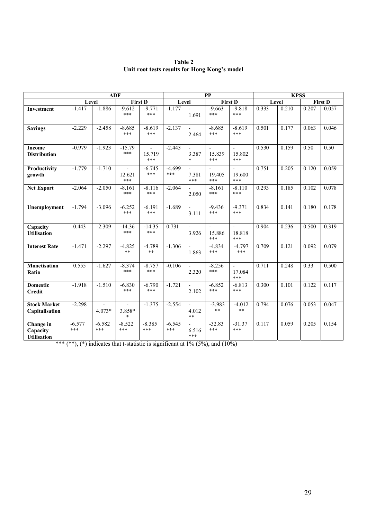|                                             | <b>ADF</b>      |                 |                                    |                  |                 | PP                            |                 |                                 | <b>KPSS</b> |       |                    |                |
|---------------------------------------------|-----------------|-----------------|------------------------------------|------------------|-----------------|-------------------------------|-----------------|---------------------------------|-------------|-------|--------------------|----------------|
|                                             | Level           |                 |                                    | <b>First D</b>   | Level           |                               |                 | <b>First D</b>                  |             | Level |                    | <b>First D</b> |
| <b>Investment</b>                           | $-1.417$        | $-1.886$        | $-9.612$<br>***                    | $-9.771$<br>***  | $-1.177$        | 1.691                         | $-9.663$<br>*** | $-9.818$<br>***                 | 0.333       | 0.210 | 0.207              | 0.057          |
| <b>Savings</b>                              | $-2.229$        | $-2.458$        | $-8.685$<br>***                    | $-8.619$<br>***  | $-2.137$        | 2.464                         | $-8.685$<br>*** | $-8.619$<br>***                 | 0.501       | 0.177 | 0.063              | 0.046          |
| <b>Income</b><br><b>Distribution</b>        | $-0.979$        | $-1.923$        | $-15.79$<br>***                    | 15.719<br>***    | $-2.443$        | 3.387<br>$*$                  | 15.839<br>***   | $\sim$<br>15.802<br>***         | 0.530       | 0.159 | 0.50               | 0.50           |
| Productivity<br>growth                      | $-1.779$        | $-1.710$        | 12.621<br>***                      | $-6.745$<br>***  | $-4.699$<br>*** | 7.381<br>***                  | 19.405<br>***   | $\overline{a}$<br>19.600<br>*** | 0.751       | 0.205 | 0.120              | 0.059          |
| <b>Net Export</b>                           | $-2.064$        | $-2.050$        | $-8.161$<br>***                    | $-8.116$<br>***  | $-2.064$        | 2.050                         | $-8.161$<br>*** | $-8.110$<br>***                 | 0.293       | 0.185 | 0.102              | 0.078          |
| Unemployment                                | $-1.794$        | $-3.096$        | $-6.252$<br>***                    | $-6.191$<br>***  | $-1.689$        | 3.111                         | $-9.436$<br>*** | $-9.371$<br>***                 | 0.834       | 0.141 | $\overline{0.180}$ | 0.178          |
| Capacity<br><b>Utilisation</b>              | 0.443           | $-2.309$        | $-14.36$<br>***                    | $-14.35$<br>***  | 0.731           | 3.926                         | 15.886<br>***   | $\overline{a}$<br>18.818<br>*** | 0.904       | 0.236 | 0.500              | 0.319          |
| <b>Interest Rate</b>                        | $-1.471$        | $-2.297$        | $-4.825$<br>$\ast\ast$             | $-4.789$<br>$**$ | $-1.306$        | 1.863                         | $-4.834$<br>*** | $-4.797$<br>***                 | 0.709       | 0.121 | 0.092              | 0.079          |
| <b>Monetisation</b><br>Ratio                | 0.555           | $-1.627$        | $-8.374$<br>***                    | $-8.757$<br>***  | $-0.106$        | 2.320                         | $-8.256$<br>*** | $\blacksquare$<br>17.084<br>*** | 0.711       | 0.248 | 0.33               | 0.500          |
| <b>Domestic</b><br><b>Credit</b>            | $-1.918$        | $-1.510$        | $-6.830$<br>***                    | $-6.790$<br>***  | $-1.721$        | $\blacksquare$<br>2.102       | $-6.852$<br>*** | $-6.813$<br>***                 | 0.300       | 0.101 | 0.122              | 0.117          |
| <b>Stock Market</b><br>Capitalisation       | $-2.298$        | $4.073*$        | $\blacksquare$<br>3.858*<br>$\ast$ | $-1.375$         | $-2.554$        | $\blacksquare$<br>4.012<br>** | $-3.983$<br>**  | $-4.012$<br>**                  | 0.794       | 0.076 | 0.053              | 0.047          |
| Change in<br>Capacity<br><b>Utilisation</b> | $-6.577$<br>*** | $-6.582$<br>*** | $-8.522$<br>***                    | $-8.385$<br>***  | $-6.545$<br>*** | 6.516<br>***                  | $-32.83$<br>*** | $-31.37$<br>***                 | 0.117       | 0.059 | 0.205              | 0.154          |

**Table 2**  Unit root tests results for Hong Kong's model

\*\*\* (\*\*), (\*) indicates that t-statistic is significant at  $1\%$  (5%), and (10%)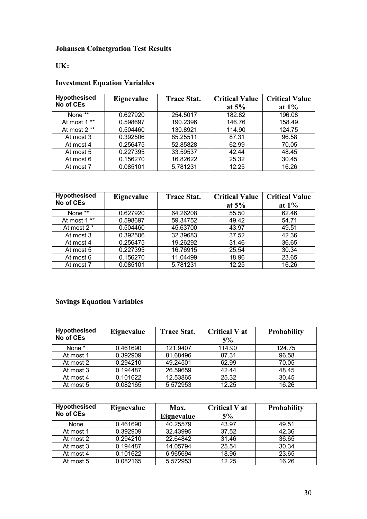# **Johansen Coinetgration Test Results**

## **UK:**

# **Investment Equation Variables**

| <b>Hypothesised</b>       | Eignevalue | <b>Trace Stat.</b> | <b>Critical Value</b> | <b>Critical Value</b> |
|---------------------------|------------|--------------------|-----------------------|-----------------------|
| No of CEs                 |            |                    | at $5\%$              | at $1\%$              |
| None **                   | 0.627920   | 254.5017           | 182.82                | 196.08                |
| At most 1 **              | 0.598697   | 190.2396           | 146.76                | 158.49                |
| At most $2 \overline{**}$ | 0.504460   | 130.8921           | 114.90                | 124.75                |
| At most 3                 | 0.392506   | 85.25511           | 87.31                 | 96.58                 |
| At most 4                 | 0.256475   | 52.85828           | 62.99                 | 70.05                 |
| At most 5                 | 0.227395   | 33.59537           | 42.44                 | 48.45                 |
| At most 6                 | 0.156270   | 16.82622           | 25.32                 | 30.45                 |
| At most 7                 | 0.085101   | 5.781231           | 12.25                 | 16.26                 |

| <b>Hypothesised</b> | Eignevalue | <b>Trace Stat.</b> | <b>Critical Value</b> | <b>Critical Value</b> |
|---------------------|------------|--------------------|-----------------------|-----------------------|
| No of CEs           |            |                    | at $5%$               | at $1\%$              |
| None **             | 0.627920   | 64.26208           | 55.50                 | 62.46                 |
| At most 1 **        | 0.598697   | 59.34752           | 49.42                 | 54.71                 |
| At most 2 *         | 0.504460   | 45.63700           | 43.97                 | 49.51                 |
| At most 3           | 0.392506   | 32.39683           | 37.52                 | 42.36                 |
| At most 4           | 0.256475   | 19.26292           | 31.46                 | 36.65                 |
| At most 5           | 0.227395   | 16.76915           | 25.54                 | 30.34                 |
| At most 6           | 0.156270   | 11.04499           | 18.96                 | 23.65                 |
| At most 7           | 0.085101   | 5.781231           | 12.25                 | 16.26                 |

# **Savings Equation Variables**

| <b>Hypothesised</b><br>No of CEs | Eignevalue | <b>Trace Stat.</b> | Critical V at<br>5% | <b>Probability</b> |
|----------------------------------|------------|--------------------|---------------------|--------------------|
| None *                           | 0.461690   | 121.9407           | 114.90              | 124.75             |
| At most 1                        | 0.392909   | 81.68496           | 87.31               | 96.58              |
| At most 2                        | 0.294210   | 49.24501           | 62.99               | 70.05              |
| At most 3                        | 0.194487   | 26.59659           | 42.44               | 48.45              |
| At most 4                        | 0.101622   | 12.53865           | 25.32               | 30.45              |
| At most 5                        | 0.082165   | 5.572953           | 12.25               | 16.26              |

| <b>Hypothesised</b><br>No of CEs | Eignevalue | Max.<br>Eignevalue | <b>Critical V at</b><br>5% | <b>Probability</b> |
|----------------------------------|------------|--------------------|----------------------------|--------------------|
| None                             | 0.461690   | 40.25579           | 43.97                      | 49.51              |
| At most 1                        | 0.392909   | 32.43995           | 37.52                      | 42.36              |
| At most 2                        | 0.294210   | 22.64842           | 31.46                      | 36.65              |
| At most 3                        | 0.194487   | 14.05794           | 25.54                      | 30.34              |
| At most 4                        | 0.101622   | 6.965694           | 18.96                      | 23.65              |
| At most 5                        | 0.082165   | 5.572953           | 12.25                      | 16.26              |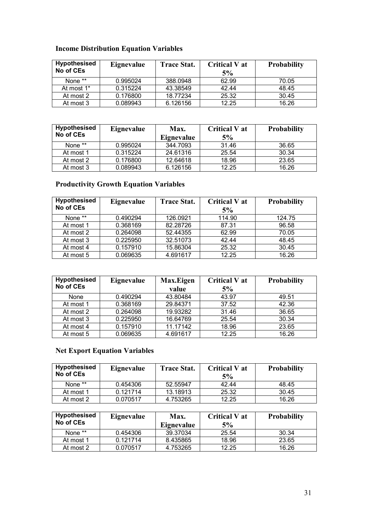## **Income Distribution Equation Variables**

| <b>Hypothesised</b><br>No of CEs | Eignevalue | <b>Trace Stat.</b> | <b>Critical V at</b><br>5% | <b>Probability</b> |
|----------------------------------|------------|--------------------|----------------------------|--------------------|
| None **                          | 0.995024   | 388.0948           | 62.99                      | 70.05              |
| At most 1*                       | 0.315224   | 43.38549           | 42.44                      | 48.45              |
| At most 2                        | 0.176800   | 18.77234           | 25.32                      | 30.45              |
| At most 3                        | 0.089943   | 6.126156           | 12.25                      | 16.26              |

| <b>Hypothesised</b> | Eignevalue | Max.       | <b>Critical V at</b> | <b>Probability</b> |
|---------------------|------------|------------|----------------------|--------------------|
| No of CEs           |            | Eignevalue | 5%                   |                    |
| None **             | 0.995024   | 344.7093   | 31.46                | 36.65              |
| At most 1           | 0.315224   | 24.61316   | 25.54                | 30.34              |
| At most 2           | 0.176800   | 12.64618   | 18.96                | 23.65              |
| At most 3           | 0.089943   | 6.126156   | 12.25                | 16.26              |

## **Productivity Growth Equation Variables**

| <b>Hypothesised</b><br>No of CEs | Eignevalue | <b>Trace Stat.</b> | Critical V at<br>5% | <b>Probability</b> |
|----------------------------------|------------|--------------------|---------------------|--------------------|
| None **                          | 0.490294   | 126.0921           | 114.90              | 124.75             |
| At most 1                        | 0.368169   | 82.28726           | 87.31               | 96.58              |
| At most 2                        | 0.264098   | 52.44355           | 62.99               | 70.05              |
| At most 3                        | 0.225950   | 32.51073           | 42.44               | 48.45              |
| At most 4                        | 0.157910   | 15.86304           | 25.32               | 30.45              |
| At most 5                        | 0.069635   | 4.691617           | 12.25               | 16.26              |

| <b>Hypothesised</b><br>No of CEs | Eignevalue | Max.Eigen | <b>Critical V at</b> | <b>Probability</b> |
|----------------------------------|------------|-----------|----------------------|--------------------|
|                                  |            | value     | 5%                   |                    |
| None                             | 0.490294   | 43.80484  | 43.97                | 49.51              |
| At most 1                        | 0.368169   | 29.84371  | 37.52                | 42.36              |
| At most 2                        | 0.264098   | 19.93282  | 31.46                | 36.65              |
| At most 3                        | 0.225950   | 16.64769  | 25.54                | 30.34              |
| At most 4                        | 0.157910   | 11.17142  | 18.96                | 23.65              |
| At most 5                        | 0.069635   | 4.691617  | 12.25                | 16.26              |

## **Net Export Equation Variables**

| Hypothesised<br>No of CEs | Eignevalue | <b>Trace Stat.</b> | Critical V at<br>5% | <b>Probability</b> |
|---------------------------|------------|--------------------|---------------------|--------------------|
| None **                   | 0.454306   | 52.55947           | 42.44               | 48.45              |
| At most 1                 | 0.121714   | 13.18913           | 25.32               | 30.45              |
| At most 2                 | 0.070517   | 4.753265           | 12.25               | 16.26              |

| <b>Hypothesised</b><br>No of CEs | Eignevalue | Max.<br>Eignevalue | <b>Critical V at</b><br>5% | <b>Probability</b> |
|----------------------------------|------------|--------------------|----------------------------|--------------------|
| None **                          | 0.454306   | 39.37034           | 25.54                      | 30.34              |
| At most 1                        | 0.121714   | 8.435865           | 18.96                      | 23.65              |
| At most 2                        | 0.070517   | 4.753265           | 12.25                      | 16.26              |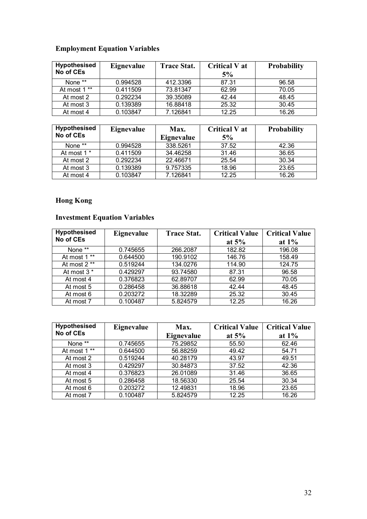# **Employment Equation Variables**

| <b>Hypothesised</b><br>No of CEs | Eignevalue | <b>Trace Stat.</b> | <b>Critical V at</b><br>5% | <b>Probability</b> |
|----------------------------------|------------|--------------------|----------------------------|--------------------|
| None **                          | 0.994528   | 412.3396           | 87.31                      | 96.58              |
| At most 1 **                     | 0.411509   | 73.81347           | 62.99                      | 70.05              |
| At most 2                        | 0.292234   | 39.35089           | 42.44                      | 48.45              |
| At most 3                        | 0.139389   | 16.88418           | 25.32                      | 30.45              |
| At most 4                        | 0.103847   | 7.126841           | 12.25                      | 16.26              |

| <b>Hypothesised</b><br>No of CEs | Eignevalue | Max.       | <b>Critical V at</b> | <b>Probability</b> |
|----------------------------------|------------|------------|----------------------|--------------------|
|                                  |            | Eignevalue | 5%                   |                    |
| None **                          | 0.994528   | 338.5261   | 37.52                | 42.36              |
| At most 1 *                      | 0.411509   | 34.46258   | 31.46                | 36.65              |
| At most 2                        | 0.292234   | 22.46671   | 25.54                | 30.34              |
| At most 3                        | 0.139389   | 9.757335   | 18.96                | 23.65              |
| At most 4                        | 0.103847   | 7.126841   | 12.25                | 16.26              |

## **Hong Kong**

# **Investment Equation Variables**

| <b>Hypothesised</b> | Eignevalue | <b>Trace Stat.</b> | <b>Critical Value</b> | <b>Critical Value</b> |
|---------------------|------------|--------------------|-----------------------|-----------------------|
| No of CEs           |            |                    | at $5%$               | at $1\%$              |
| None **             | 0.745655   | 266.2087           | 182.82                | 196.08                |
| At most 1 **        | 0.644500   | 190.9102           | 146.76                | 158.49                |
| At most 2 **        | 0.519244   | 134.0276           | 114.90                | 124.75                |
| At most 3 *         | 0.429297   | 93.74580           | 87.31                 | 96.58                 |
| At most 4           | 0.376823   | 62.89707           | 62.99                 | 70.05                 |
| At most 5           | 0.286458   | 36.88618           | 42.44                 | 48.45                 |
| At most 6           | 0.203272   | 18.32289           | 25.32                 | 30.45                 |
| At most 7           | 0.100487   | 5.824579           | 12.25                 | 16.26                 |

| <b>Hypothesised</b><br>No of CEs | Eignevalue | Max.       | <b>Critical Value</b> | <b>Critical Value</b> |
|----------------------------------|------------|------------|-----------------------|-----------------------|
|                                  |            | Eignevalue | at $5%$               | at $1\%$              |
| None **                          | 0.745655   | 75.29852   | 55.50                 | 62.46                 |
| At most 1 **                     | 0.644500   | 56.88259   | 49.42                 | 54.71                 |
| At most 2                        | 0.519244   | 40.28179   | 43.97                 | 49.51                 |
| At most 3                        | 0.429297   | 30.84873   | 37.52                 | 42.36                 |
| At most 4                        | 0.376823   | 26.01089   | 31.46                 | 36.65                 |
| At most 5                        | 0.286458   | 18.56330   | 25.54                 | 30.34                 |
| At most 6                        | 0.203272   | 12.49831   | 18.96                 | 23.65                 |
| At most 7                        | 0.100487   | 5.824579   | 12.25                 | 16.26                 |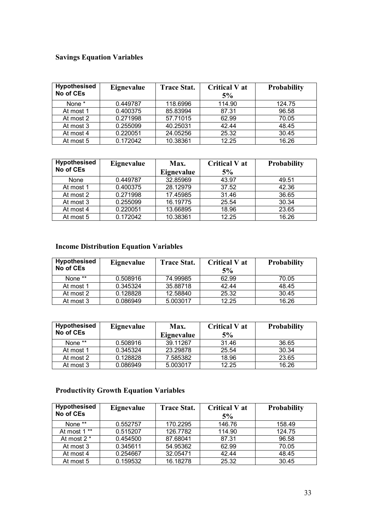### **Savings Equation Variables**

| <b>Hypothesised</b><br>No of CEs | Eignevalue | <b>Trace Stat.</b> | <b>Critical V at</b><br>5% | <b>Probability</b> |
|----------------------------------|------------|--------------------|----------------------------|--------------------|
| None *                           | 0.449787   | 118.6996           | 114.90                     | 124.75             |
| At most 1                        | 0.400375   | 85.83994           | 87.31                      | 96.58              |
| At most 2                        | 0.271998   | 57.71015           | 62.99                      | 70.05              |
| At most 3                        | 0.255099   | 40.25031           | 42.44                      | 48.45              |
| At most 4                        | 0.220051   | 24.05256           | 25.32                      | 30.45              |
| At most 5                        | 0.172042   | 10.38361           | 12.25                      | 16.26              |

| <b>Hypothesised</b> | Eignevalue | Max.       | Critical V at | <b>Probability</b> |
|---------------------|------------|------------|---------------|--------------------|
| No of CEs           |            | Eignevalue | 5%            |                    |
| None                | 0.449787   | 32.85969   | 43.97         | 49.51              |
| At most 1           | 0.400375   | 28.12979   | 37.52         | 42.36              |
| At most 2           | 0.271998   | 17.45985   | 31.46         | 36.65              |
| At most 3           | 0.255099   | 16.19775   | 25.54         | 30.34              |
| At most 4           | 0.220051   | 13.66895   | 18.96         | 23.65              |
| At most 5           | 0.172042   | 10.38361   | 12.25         | 16.26              |

## **Income Distribution Equation Variables**

| <b>Hypothesised</b><br>No of CEs | Eignevalue | <b>Trace Stat.</b> | <b>Critical V at</b><br>5% | <b>Probability</b> |
|----------------------------------|------------|--------------------|----------------------------|--------------------|
| None **                          | 0.508916   | 74.99985           | 62.99                      | 70.05              |
| At most 1                        | 0.345324   | 35.88718           | 42.44                      | 48.45              |
| At most 2                        | 0.128828   | 12.58840           | 25.32                      | 30.45              |
| At most 3                        | 0.086949   | 5.003017           | 12.25                      | 16.26              |

| <b>Hypothesised</b><br>No of CEs | Eignevalue | Max.<br>Eignevalue | <b>Critical V at</b><br>5% | <b>Probability</b> |
|----------------------------------|------------|--------------------|----------------------------|--------------------|
| None **                          | 0.508916   | 39.11267           | 31.46                      | 36.65              |
| At most 1                        | 0.345324   | 23.29878           | 25.54                      | 30.34              |
| At most 2                        | 0.128828   | 7.585382           | 18.96                      | 23.65              |
| At most 3                        | 0.086949   | 5.003017           | 12.25                      | 16.26              |

## **Productivity Growth Equation Variables**

| <b>Hypothesised</b><br>No of CEs | Eignevalue | <b>Trace Stat.</b> | <b>Critical V at</b><br>5% | <b>Probability</b> |
|----------------------------------|------------|--------------------|----------------------------|--------------------|
| None **                          | 0.552757   | 170.2295           | 146.76                     | 158.49             |
| At most 1 **                     | 0.515207   | 126.7782           | 114.90                     | 124.75             |
| At most 2 *                      | 0.454500   | 87.68041           | 87.31                      | 96.58              |
| At most 3                        | 0.345611   | 54.95362           | 62.99                      | 70.05              |
| At most 4                        | 0.254667   | 32.05471           | 42.44                      | 48.45              |
| At most 5                        | 0.159532   | 16.18278           | 25.32                      | 30.45              |